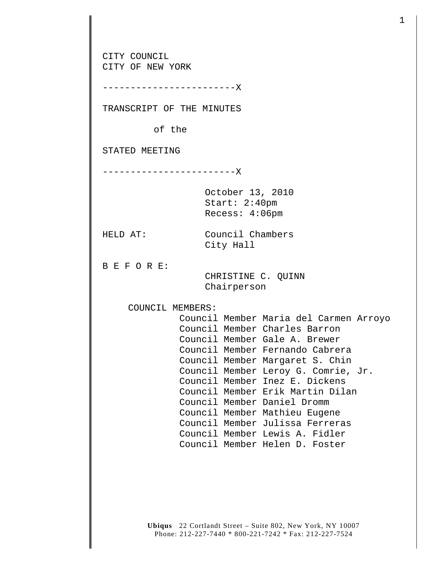CITY COUNCIL CITY OF NEW YORK ------------------------X TRANSCRIPT OF THE MINUTES of the STATED MEETING ------------------------X October 13, 2010 Start: 2:40pm Recess: 4:06pm HELD AT: Council Chambers City Hall B E F O R E: CHRISTINE C. QUINN Chairperson COUNCIL MEMBERS: Council Member Maria del Carmen Arroyo Council Member Charles Barron Council Member Gale A. Brewer Council Member Fernando Cabrera Council Member Margaret S. Chin Council Member Leroy G. Comrie, Jr. Council Member Inez E. Dickens Council Member Erik Martin Dilan Council Member Daniel Dromm Council Member Mathieu Eugene Council Member Julissa Ferreras Council Member Lewis A. Fidler Council Member Helen D. Foster

1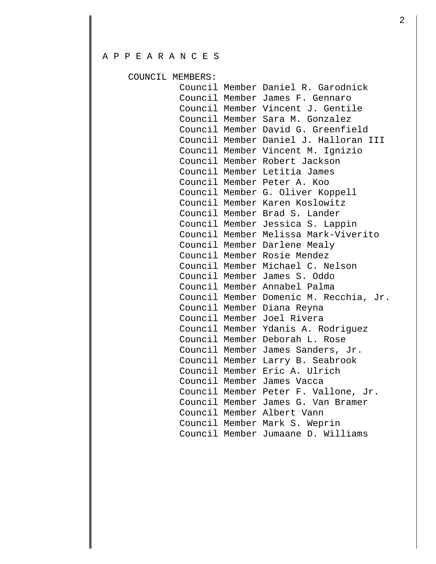## A P P E A R A N C E S

 COUNCIL MEMBERS: Council Member Daniel R. Garodnick Council Member James F. Gennaro Council Member Vincent J. Gentile Council Member Sara M. Gonzalez Council Member David G. Greenfield Council Member Daniel J. Halloran III Council Member Vincent M. Ignizio Council Member Robert Jackson Council Member Letitia James Council Member Peter A. Koo Council Member G. Oliver Koppell Council Member Karen Koslowitz Council Member Brad S. Lander Council Member Jessica S. Lappin Council Member Melissa Mark-Viverito Council Member Darlene Mealy Council Member Rosie Mendez Council Member Michael C. Nelson Council Member James S. Oddo Council Member Annabel Palma Council Member Domenic M. Recchia, Jr. Council Member Diana Reyna Council Member Joel Rivera Council Member Ydanis A. Rodriguez Council Member Deborah L. Rose Council Member James Sanders, Jr. Council Member Larry B. Seabrook Council Member Eric A. Ulrich Council Member James Vacca Council Member Peter F. Vallone, Jr. Council Member James G. Van Bramer Council Member Albert Vann Council Member Mark S. Weprin Council Member Jumaane D. Williams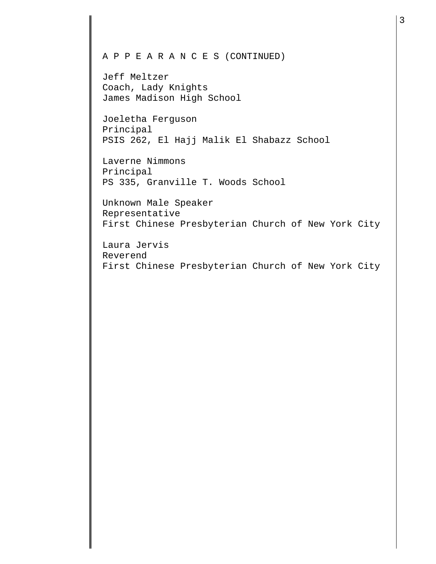## A P P E A R A N C E S (CONTINUED)

Jeff Meltzer Coach, Lady Knights James Madison High School

Joeletha Ferguson Principal PSIS 262, El Hajj Malik El Shabazz School

Laverne Nimmons Principal PS 335, Granville T. Woods School

Unknown Male Speaker Representative First Chinese Presbyterian Church of New York City

Laura Jervis Reverend First Chinese Presbyterian Church of New York City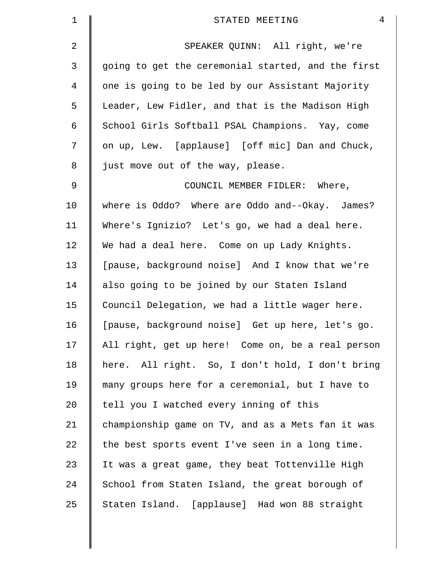| $\mathbf 1$ | $\overline{4}$<br>STATED MEETING                   |
|-------------|----------------------------------------------------|
| 2           | SPEAKER QUINN: All right, we're                    |
| 3           | going to get the ceremonial started, and the first |
| 4           | one is going to be led by our Assistant Majority   |
| 5           | Leader, Lew Fidler, and that is the Madison High   |
| 6           | School Girls Softball PSAL Champions. Yay, come    |
| 7           | on up, Lew. [applause] [off mic] Dan and Chuck,    |
| 8           | just move out of the way, please.                  |
| $\mathsf 9$ | COUNCIL MEMBER FIDLER: Where,                      |
| 10          | where is Oddo? Where are Oddo and--Okay. James?    |
| 11          | Where's Ignizio? Let's go, we had a deal here.     |
| 12          | We had a deal here. Come on up Lady Knights.       |
| 13          | [pause, background noise] And I know that we're    |
| 14          | also going to be joined by our Staten Island       |
| 15          | Council Delegation, we had a little wager here.    |
| 16          | [pause, background noise] Get up here, let's go.   |
| 17          | All right, get up here! Come on, be a real person  |
| 18          | here. All right. So, I don't hold, I don't bring   |
| 19          | many groups here for a ceremonial, but I have to   |
| $20 \,$     | tell you I watched every inning of this            |
| 21          | championship game on TV, and as a Mets fan it was  |
| 22          | the best sports event I've seen in a long time.    |
| 23          | It was a great game, they beat Tottenville High    |
| 24          | School from Staten Island, the great borough of    |
| 25          | Staten Island. [applause] Had won 88 straight      |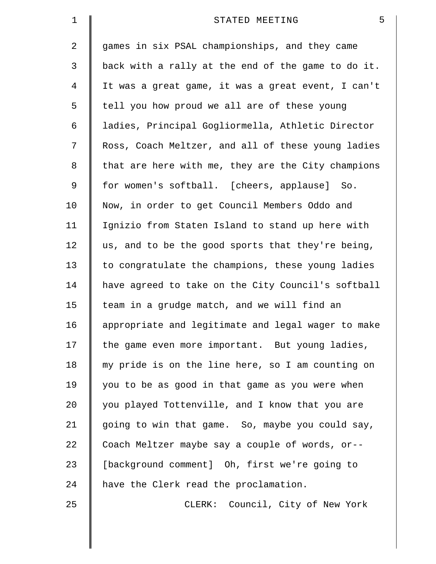| $\mathbf 1$ | 5<br>STATED MEETING                                |
|-------------|----------------------------------------------------|
| 2           | games in six PSAL championships, and they came     |
| 3           | back with a rally at the end of the game to do it. |
| 4           | It was a great game, it was a great event, I can't |
| 5           | tell you how proud we all are of these young       |
| 6           | ladies, Principal Gogliormella, Athletic Director  |
| 7           | Ross, Coach Meltzer, and all of these young ladies |
| 8           | that are here with me, they are the City champions |
| 9           | for women's softball. [cheers, applause] So.       |
| 10          | Now, in order to get Council Members Oddo and      |
| 11          | Ignizio from Staten Island to stand up here with   |
| 12          | us, and to be the good sports that they're being,  |
| 13          | to congratulate the champions, these young ladies  |
| 14          | have agreed to take on the City Council's softball |
| 15          | team in a grudge match, and we will find an        |
| 16          | appropriate and legitimate and legal wager to make |
| 17          | the game even more important. But young ladies,    |
| 18          | my pride is on the line here, so I am counting on  |
| 19          | you to be as good in that game as you were when    |
| 20          | you played Tottenville, and I know that you are    |
| 21          | going to win that game. So, maybe you could say,   |
| 22          | Coach Meltzer maybe say a couple of words, or--    |
| 23          | [background comment] Oh, first we're going to      |
| 24          | have the Clerk read the proclamation.              |
| 25          | CLERK: Council, City of New York                   |
|             |                                                    |

║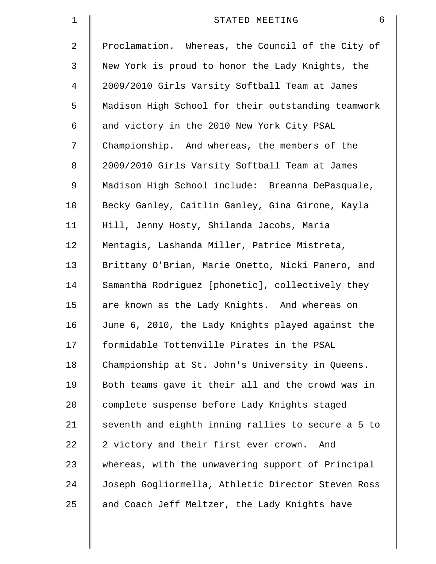| 1  | 6<br>STATED MEETING                                |
|----|----------------------------------------------------|
| 2  | Proclamation. Whereas, the Council of the City of  |
| 3  | New York is proud to honor the Lady Knights, the   |
| 4  | 2009/2010 Girls Varsity Softball Team at James     |
| 5  | Madison High School for their outstanding teamwork |
| 6  | and victory in the 2010 New York City PSAL         |
| 7  | Championship. And whereas, the members of the      |
| 8  | 2009/2010 Girls Varsity Softball Team at James     |
| 9  | Madison High School include: Breanna DePasquale,   |
| 10 | Becky Ganley, Caitlin Ganley, Gina Girone, Kayla   |
| 11 | Hill, Jenny Hosty, Shilanda Jacobs, Maria          |
| 12 | Mentagis, Lashanda Miller, Patrice Mistreta,       |
| 13 | Brittany O'Brian, Marie Onetto, Nicki Panero, and  |
| 14 | Samantha Rodriguez [phonetic], collectively they   |
| 15 | are known as the Lady Knights. And whereas on      |
| 16 | June 6, 2010, the Lady Knights played against the  |
| 17 | formidable Tottenville Pirates in the PSAL         |
| 18 | Championship at St. John's University in Queens.   |
| 19 | Both teams gave it their all and the crowd was in  |
| 20 | complete suspense before Lady Knights staged       |
| 21 | seventh and eighth inning rallies to secure a 5 to |
| 22 | 2 victory and their first ever crown.<br>And       |
| 23 | whereas, with the unwavering support of Principal  |
| 24 | Joseph Gogliormella, Athletic Director Steven Ross |
| 25 | and Coach Jeff Meltzer, the Lady Knights have      |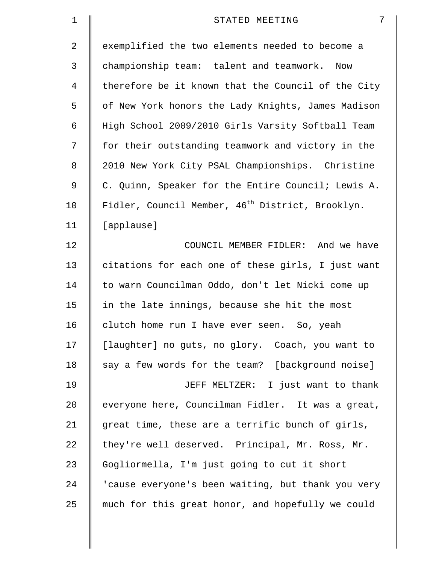| $\mathbf 1$    | 7<br>STATED MEETING                                          |
|----------------|--------------------------------------------------------------|
| $\overline{a}$ | exemplified the two elements needed to become a              |
| 3              | championship team: talent and teamwork. Now                  |
| 4              | therefore be it known that the Council of the City           |
| 5              | of New York honors the Lady Knights, James Madison           |
| 6              | High School 2009/2010 Girls Varsity Softball Team            |
| 7              | for their outstanding teamwork and victory in the            |
| 8              | 2010 New York City PSAL Championships. Christine             |
| 9              | C. Quinn, Speaker for the Entire Council; Lewis A.           |
| 10             | Fidler, Council Member, 46 <sup>th</sup> District, Brooklyn. |
| 11             | [applause]                                                   |
| 12             | COUNCIL MEMBER FIDLER: And we have                           |
| 13             | citations for each one of these girls, I just want           |
| 14             | to warn Councilman Oddo, don't let Nicki come up             |
| 15             | in the late innings, because she hit the most                |
| 16             | clutch home run I have ever seen. So, yeah                   |
| 17             | [laughter] no guts, no glory. Coach, you want to             |
| 18             | say a few words for the team? [background noise]             |
| 19             | JEFF MELTZER: I just want to thank                           |
| 20             | everyone here, Councilman Fidler. It was a great,            |
| 21             | great time, these are a terrific bunch of girls,             |
| 22             | they're well deserved. Principal, Mr. Ross, Mr.              |
| 23             | Gogliormella, I'm just going to cut it short                 |
| 24             | 'cause everyone's been waiting, but thank you very           |
| 25             | much for this great honor, and hopefully we could            |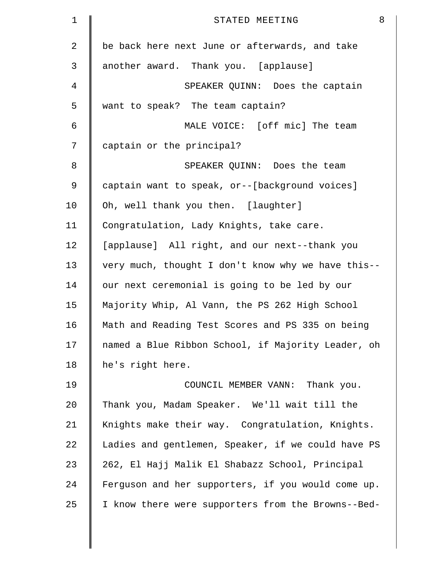| 1  | 8<br>STATED MEETING                                |
|----|----------------------------------------------------|
| 2  | be back here next June or afterwards, and take     |
| 3  | another award. Thank you. [applause]               |
| 4  | SPEAKER QUINN: Does the captain                    |
| 5  | want to speak? The team captain?                   |
| 6  | MALE VOICE: [off mic] The team                     |
| 7  | captain or the principal?                          |
| 8  | SPEAKER QUINN: Does the team                       |
| 9  | captain want to speak, or--[background voices]     |
| 10 | Oh, well thank you then. [laughter]                |
| 11 | Congratulation, Lady Knights, take care.           |
| 12 | [applause] All right, and our next--thank you      |
| 13 | very much, thought I don't know why we have this-- |
| 14 | our next ceremonial is going to be led by our      |
| 15 | Majority Whip, Al Vann, the PS 262 High School     |
| 16 | Math and Reading Test Scores and PS 335 on being   |
| 17 | named a Blue Ribbon School, if Majority Leader, oh |
| 18 | he's right here.                                   |
| 19 | COUNCIL MEMBER VANN: Thank you.                    |
| 20 | Thank you, Madam Speaker. We'll wait till the      |
| 21 | Knights make their way. Congratulation, Knights.   |
| 22 | Ladies and gentlemen, Speaker, if we could have PS |
| 23 | 262, El Hajj Malik El Shabazz School, Principal    |
| 24 | Ferguson and her supporters, if you would come up. |
| 25 | I know there were supporters from the Browns--Bed- |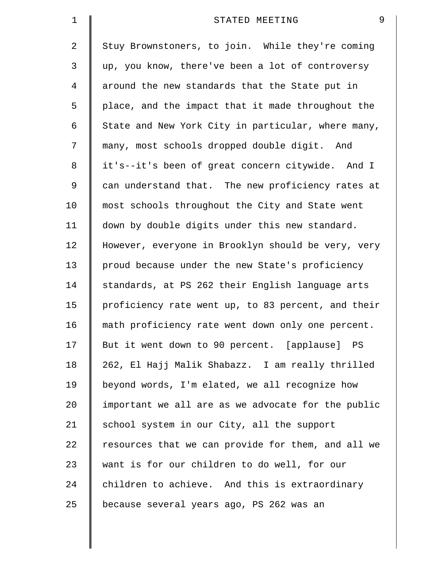| $\mathbf 1$ | 9<br>STATED MEETING                                |
|-------------|----------------------------------------------------|
| 2           | Stuy Brownstoners, to join. While they're coming   |
| 3           | up, you know, there've been a lot of controversy   |
| 4           | around the new standards that the State put in     |
| 5           | place, and the impact that it made throughout the  |
| 6           | State and New York City in particular, where many, |
| 7           | many, most schools dropped double digit. And       |
| 8           | it's--it's been of great concern citywide. And I   |
| 9           | can understand that. The new proficiency rates at  |
| 10          | most schools throughout the City and State went    |
| 11          | down by double digits under this new standard.     |
| 12          | However, everyone in Brooklyn should be very, very |
| 13          | proud because under the new State's proficiency    |
| 14          | standards, at PS 262 their English language arts   |
| 15          | proficiency rate went up, to 83 percent, and their |
| 16          | math proficiency rate went down only one percent.  |
| 17          | But it went down to 90 percent. [applause] PS      |
| 18          | 262, El Hajj Malik Shabazz. I am really thrilled   |
| 19          | beyond words, I'm elated, we all recognize how     |
| 20          | important we all are as we advocate for the public |
| 21          | school system in our City, all the support         |
| 22          | resources that we can provide for them, and all we |
| 23          | want is for our children to do well, for our       |
| 24          | children to achieve. And this is extraordinary     |
| 25          | because several years ago, PS 262 was an           |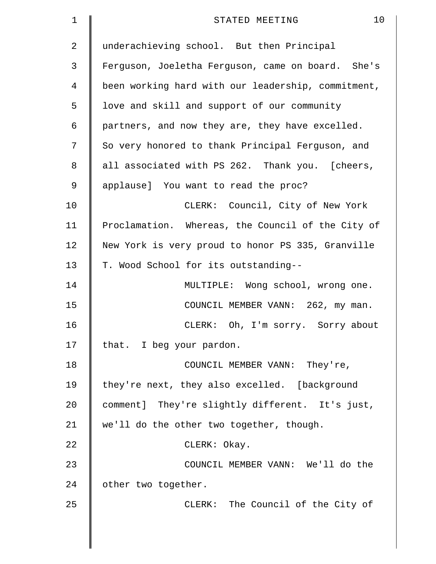| 1  | 10<br>STATED MEETING                               |
|----|----------------------------------------------------|
| 2  | underachieving school. But then Principal          |
| 3  | Ferguson, Joeletha Ferguson, came on board. She's  |
| 4  | been working hard with our leadership, commitment, |
| 5  | love and skill and support of our community        |
| 6  | partners, and now they are, they have excelled.    |
| 7  | So very honored to thank Principal Ferguson, and   |
| 8  | all associated with PS 262. Thank you. [cheers,    |
| 9  | applause] You want to read the proc?               |
| 10 | CLERK: Council, City of New York                   |
| 11 | Proclamation. Whereas, the Council of the City of  |
| 12 | New York is very proud to honor PS 335, Granville  |
| 13 | T. Wood School for its outstanding--               |
| 14 | MULTIPLE: Wong school, wrong one.                  |
| 15 | COUNCIL MEMBER VANN: 262, my man.                  |
| 16 | CLERK: Oh, I'm sorry. Sorry about                  |
| 17 | that. I beg your pardon.                           |
| 18 | COUNCIL MEMBER VANN: They're,                      |
| 19 | they're next, they also excelled. [background      |
| 20 | comment] They're slightly different. It's just,    |
| 21 | we'll do the other two together, though.           |
| 22 | CLERK: Okay.                                       |
| 23 | COUNCIL MEMBER VANN: We'll do the                  |
| 24 | other two together.                                |
| 25 | CLERK: The Council of the City of                  |
|    |                                                    |
|    |                                                    |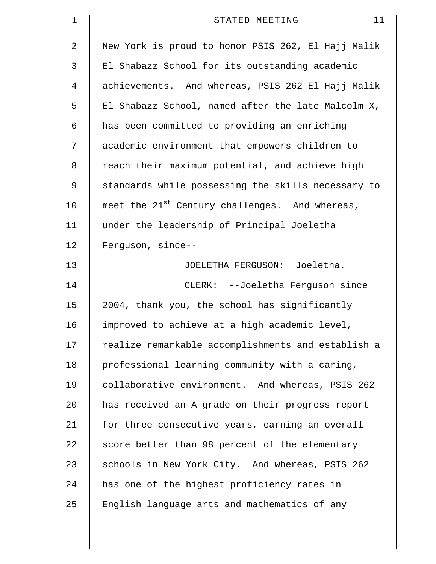| 1           | 11<br>STATED MEETING                                       |
|-------------|------------------------------------------------------------|
| 2           | New York is proud to honor PSIS 262, El Hajj Malik         |
| 3           | El Shabazz School for its outstanding academic             |
| 4           | achievements. And whereas, PSIS 262 El Hajj Malik          |
| 5           | El Shabazz School, named after the late Malcolm X,         |
| 6           | has been committed to providing an enriching               |
| 7           | academic environment that empowers children to             |
| 8           | reach their maximum potential, and achieve high            |
| $\mathsf 9$ | standards while possessing the skills necessary to         |
| 10          | meet the 21 <sup>st</sup> Century challenges. And whereas, |
| 11          | under the leadership of Principal Joeletha                 |
| 12          | Ferguson, since--                                          |
| 13          | JOELETHA FERGUSON: Joeletha.                               |
| 14          | CLERK: --Joeletha Ferguson since                           |
| 15          | 2004, thank you, the school has significantly              |
| 16          | improved to achieve at a high academic level,              |
| 17          | realize remarkable accomplishments and establish a         |
| 18          | professional learning community with a caring,             |
| 19          | collaborative environment. And whereas, PSIS 262           |
| 20          | has received an A grade on their progress report           |
| 21          | for three consecutive years, earning an overall            |
| 22          | score better than 98 percent of the elementary             |
| 23          | schools in New York City. And whereas, PSIS 262            |
| 24          | has one of the highest proficiency rates in                |
| 25          | English language arts and mathematics of any               |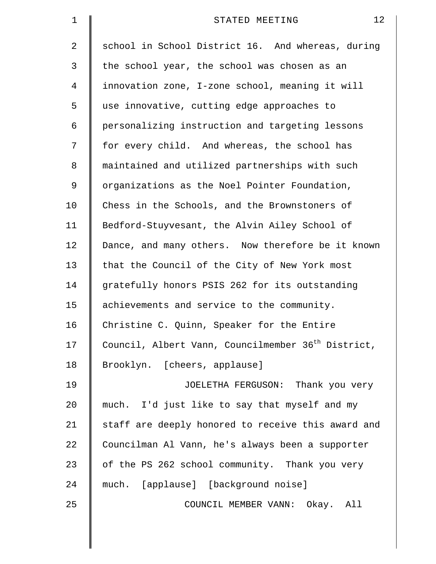| $\mathbf 1$ | 12<br>STATED MEETING                                           |
|-------------|----------------------------------------------------------------|
| 2           | school in School District 16. And whereas, during              |
| 3           | the school year, the school was chosen as an                   |
| 4           | innovation zone, I-zone school, meaning it will                |
| 5           | use innovative, cutting edge approaches to                     |
| 6           | personalizing instruction and targeting lessons                |
| 7           | for every child. And whereas, the school has                   |
| 8           | maintained and utilized partnerships with such                 |
| 9           | organizations as the Noel Pointer Foundation,                  |
| 10          | Chess in the Schools, and the Brownstoners of                  |
| 11          | Bedford-Stuyvesant, the Alvin Ailey School of                  |
| 12          | Dance, and many others. Now therefore be it known              |
| 13          | that the Council of the City of New York most                  |
| 14          | gratefully honors PSIS 262 for its outstanding                 |
| 15          | achievements and service to the community.                     |
| 16          | Christine C. Quinn, Speaker for the Entire                     |
| 17          | Council, Albert Vann, Councilmember 36 <sup>th</sup> District, |
| 18          | Brooklyn. [cheers, applause]                                   |
| 19          | JOELETHA FERGUSON: Thank you very                              |
| 20          | much. I'd just like to say that myself and my                  |
| 21          | staff are deeply honored to receive this award and             |
| 22          | Councilman Al Vann, he's always been a supporter               |
| 23          | of the PS 262 school community. Thank you very                 |
| 24          | much. [applause] [background noise]                            |
| 25          | COUNCIL MEMBER VANN: Okay. All                                 |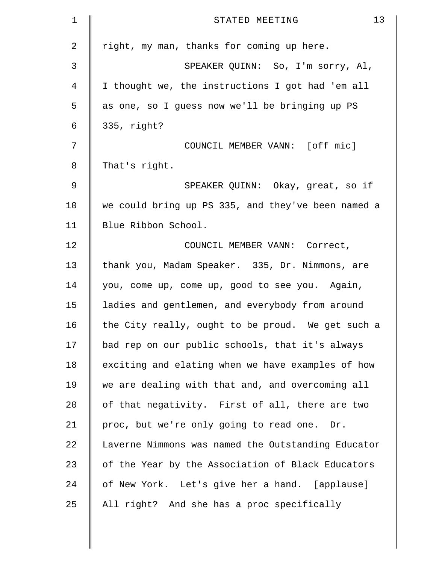| $\mathbf 1$ | 13<br>STATED MEETING                               |
|-------------|----------------------------------------------------|
| 2           | right, my man, thanks for coming up here.          |
| 3           | SPEAKER QUINN: So, I'm sorry, Al,                  |
| 4           | I thought we, the instructions I got had 'em all   |
| 5           | as one, so I guess now we'll be bringing up PS     |
| 6           | 335, right?                                        |
| 7           | COUNCIL MEMBER VANN: [off mic]                     |
| 8           | That's right.                                      |
| 9           | SPEAKER QUINN: Okay, great, so if                  |
| 10          | we could bring up PS 335, and they've been named a |
| 11          | Blue Ribbon School.                                |
| 12          | COUNCIL MEMBER VANN: Correct,                      |
| 13          | thank you, Madam Speaker. 335, Dr. Nimmons, are    |
| 14          | you, come up, come up, good to see you. Again,     |
| 15          | ladies and gentlemen, and everybody from around    |
| 16          | the City really, ought to be proud. We get such a  |
| 17          | bad rep on our public schools, that it's always    |
| 18          | exciting and elating when we have examples of how  |
| 19          | we are dealing with that and, and overcoming all   |
| 20          | of that negativity. First of all, there are two    |
| 21          | proc, but we're only going to read one. Dr.        |
| 22          | Laverne Nimmons was named the Outstanding Educator |
| 23          | of the Year by the Association of Black Educators  |
| 24          | of New York. Let's give her a hand. [applause]     |
| 25          | All right? And she has a proc specifically         |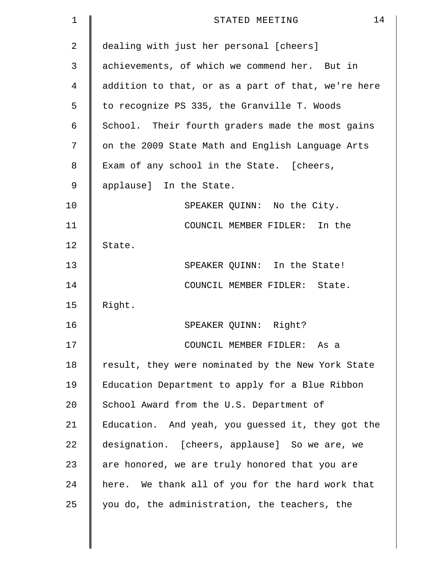| 1              | 14<br>STATED MEETING                               |
|----------------|----------------------------------------------------|
| $\overline{a}$ | dealing with just her personal [cheers]            |
| 3              | achievements, of which we commend her. But in      |
| 4              | addition to that, or as a part of that, we're here |
| 5              | to recognize PS 335, the Granville T. Woods        |
| 6              | School. Their fourth graders made the most gains   |
| 7              | on the 2009 State Math and English Language Arts   |
| 8              | Exam of any school in the State. [cheers,          |
| 9              | applause] In the State.                            |
| 10             | SPEAKER QUINN: No the City.                        |
| 11             | COUNCIL MEMBER FIDLER: In the                      |
| 12             | State.                                             |
| 13             | SPEAKER QUINN: In the State!                       |
| 14             | COUNCIL MEMBER FIDLER: State.                      |
| 15             | Right.                                             |
| 16             | SPEAKER QUINN: Right?                              |
| 17             | COUNCIL MEMBER FIDLER: As a                        |
| 18             | result, they were nominated by the New York State  |
| 19             | Education Department to apply for a Blue Ribbon    |
| 20             | School Award from the U.S. Department of           |
| 21             | Education. And yeah, you guessed it, they got the  |
| 22             | designation. [cheers, applause] So we are, we      |
| 23             | are honored, we are truly honored that you are     |
| 24             | here. We thank all of you for the hard work that   |
| 25             | you do, the administration, the teachers, the      |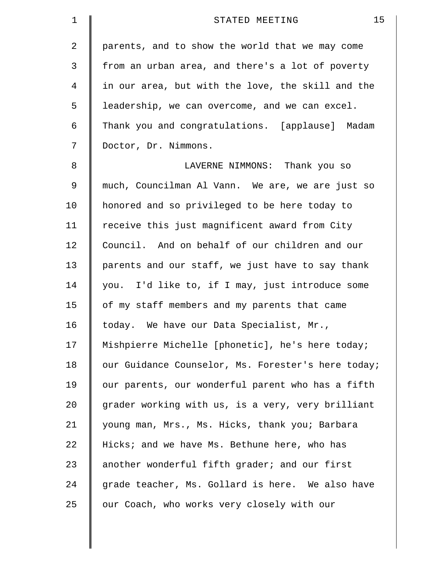| $\mathbf 1$    | 15<br>STATED MEETING                               |
|----------------|----------------------------------------------------|
| $\overline{2}$ | parents, and to show the world that we may come    |
| 3              | from an urban area, and there's a lot of poverty   |
| 4              | in our area, but with the love, the skill and the  |
| 5              | leadership, we can overcome, and we can excel.     |
| 6              | Thank you and congratulations. [applause] Madam    |
| 7              | Doctor, Dr. Nimmons.                               |
| 8              | LAVERNE NIMMONS: Thank you so                      |
| 9              | much, Councilman Al Vann. We are, we are just so   |
| 10             | honored and so privileged to be here today to      |
| 11             | receive this just magnificent award from City      |
| 12             | Council. And on behalf of our children and our     |
| 13             | parents and our staff, we just have to say thank   |
| 14             | you. I'd like to, if I may, just introduce some    |
| 15             | of my staff members and my parents that came       |
| 16             | today. We have our Data Specialist, Mr.,           |
| 17             | Mishpierre Michelle [phonetic], he's here today;   |
| 18             | our Guidance Counselor, Ms. Forester's here today; |
| 19             | our parents, our wonderful parent who has a fifth  |
| 20             | grader working with us, is a very, very brilliant  |
| 21             | young man, Mrs., Ms. Hicks, thank you; Barbara     |
| 22             | Hicks; and we have Ms. Bethune here, who has       |
| 23             | another wonderful fifth grader; and our first      |
| 24             | grade teacher, Ms. Gollard is here. We also have   |
| 25             | our Coach, who works very closely with our         |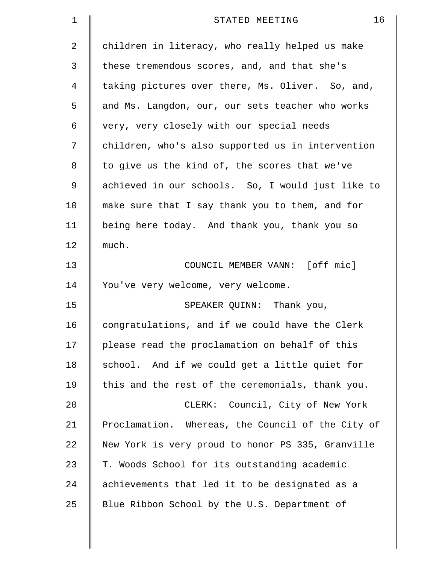| 1  | 16<br>STATED MEETING                              |
|----|---------------------------------------------------|
| 2  | children in literacy, who really helped us make   |
| 3  | these tremendous scores, and, and that she's      |
| 4  | taking pictures over there, Ms. Oliver. So, and,  |
| 5  | and Ms. Langdon, our, our sets teacher who works  |
| 6  | very, very closely with our special needs         |
| 7  | children, who's also supported us in intervention |
| 8  | to give us the kind of, the scores that we've     |
| 9  | achieved in our schools. So, I would just like to |
| 10 | make sure that I say thank you to them, and for   |
| 11 | being here today. And thank you, thank you so     |
| 12 | much.                                             |
| 13 | COUNCIL MEMBER VANN: [off mic]                    |
| 14 | You've very welcome, very welcome.                |
| 15 | SPEAKER QUINN: Thank you,                         |
| 16 | congratulations, and if we could have the Clerk   |
| 17 | please read the proclamation on behalf of this    |
| 18 | school. And if we could get a little quiet for    |
| 19 | this and the rest of the ceremonials, thank you.  |
| 20 | CLERK: Council, City of New York                  |
| 21 | Proclamation. Whereas, the Council of the City of |
| 22 | New York is very proud to honor PS 335, Granville |
| 23 | T. Woods School for its outstanding academic      |
| 24 | achievements that led it to be designated as a    |
| 25 | Blue Ribbon School by the U.S. Department of      |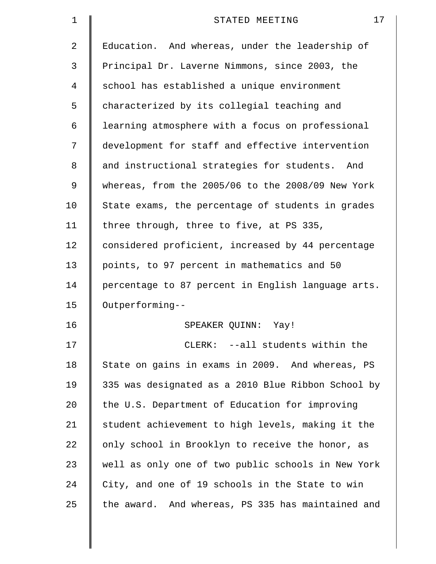| $\mathbf 1$    | 17<br>STATED MEETING                               |
|----------------|----------------------------------------------------|
| 2              | Education. And whereas, under the leadership of    |
| 3              | Principal Dr. Laverne Nimmons, since 2003, the     |
| $\overline{4}$ | school has established a unique environment        |
| 5              | characterized by its collegial teaching and        |
| 6              | learning atmosphere with a focus on professional   |
| 7              | development for staff and effective intervention   |
| 8              | and instructional strategies for students. And     |
| 9              | whereas, from the 2005/06 to the 2008/09 New York  |
| 10             | State exams, the percentage of students in grades  |
| 11             | three through, three to five, at PS 335,           |
| 12             | considered proficient, increased by 44 percentage  |
| 13             | points, to 97 percent in mathematics and 50        |
| 14             | percentage to 87 percent in English language arts. |
| 15             | Outperforming--                                    |
| 16             | SPEAKER QUINN:<br>Yay!                             |
| 17             | CLERK: --all students within the                   |
| 18             | State on gains in exams in 2009. And whereas, PS   |
| 19             | 335 was designated as a 2010 Blue Ribbon School by |
| 20             | the U.S. Department of Education for improving     |
| 21             | student achievement to high levels, making it the  |
| 22             | only school in Brooklyn to receive the honor, as   |
| 23             | well as only one of two public schools in New York |
| 24             | City, and one of 19 schools in the State to win    |
| 25             | the award. And whereas, PS 335 has maintained and  |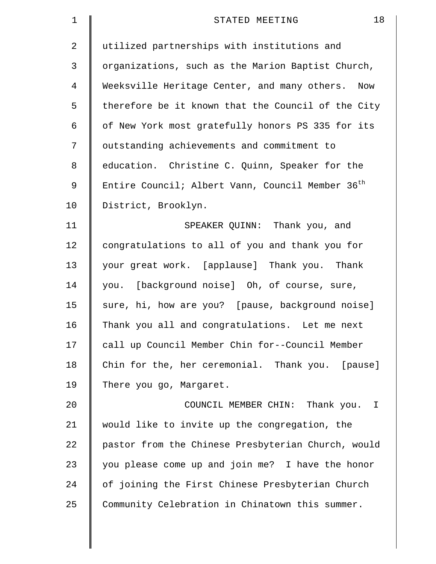| $\mathbf 1$    | 18<br>STATED MEETING                                         |
|----------------|--------------------------------------------------------------|
| $\overline{2}$ | utilized partnerships with institutions and                  |
| 3              | organizations, such as the Marion Baptist Church,            |
| 4              | Weeksville Heritage Center, and many others.<br>Now          |
| 5              | therefore be it known that the Council of the City           |
| 6              | of New York most gratefully honors PS 335 for its            |
| 7              | outstanding achievements and commitment to                   |
| 8              | education. Christine C. Quinn, Speaker for the               |
| 9              | Entire Council; Albert Vann, Council Member 36 <sup>th</sup> |
| 10             | District, Brooklyn.                                          |
| 11             | SPEAKER QUINN: Thank you, and                                |
| 12             | congratulations to all of you and thank you for              |
| 13             | your great work. [applause] Thank you. Thank                 |
| 14             | you. [background noise] Oh, of course, sure,                 |
| 15             | sure, hi, how are you? [pause, background noise]             |
| 16             | Thank you all and congratulations. Let me next               |
| 17             | call up Council Member Chin for--Council Member              |
| 18             | Chin for the, her ceremonial. Thank you. [pause]             |
| 19             | There you go, Margaret.                                      |
| 20             | COUNCIL MEMBER CHIN: Thank you.<br>$\mathbf I$               |
| 21             | would like to invite up the congregation, the                |
| 22             | pastor from the Chinese Presbyterian Church, would           |
| 23             | you please come up and join me? I have the honor             |
| 24             | of joining the First Chinese Presbyterian Church             |
| 25             | Community Celebration in Chinatown this summer.              |
|                |                                                              |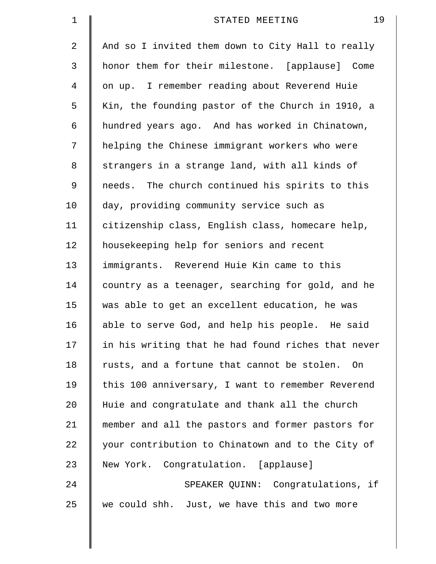| $\mathbf 1$    | 19<br>STATED MEETING                               |
|----------------|----------------------------------------------------|
| $\overline{2}$ | And so I invited them down to City Hall to really  |
| 3              | honor them for their milestone. [applause] Come    |
| 4              | on up. I remember reading about Reverend Huie      |
| 5              | Kin, the founding pastor of the Church in 1910, a  |
| 6              | hundred years ago. And has worked in Chinatown,    |
| 7              | helping the Chinese immigrant workers who were     |
| 8              | strangers in a strange land, with all kinds of     |
| 9              | needs. The church continued his spirits to this    |
| 10             | day, providing community service such as           |
| 11             | citizenship class, English class, homecare help,   |
| 12             | housekeeping help for seniors and recent           |
| 13             | immigrants. Reverend Huie Kin came to this         |
| 14             | country as a teenager, searching for gold, and he  |
| 15             | was able to get an excellent education, he was     |
| 16             | able to serve God, and help his people. He said    |
| 17             | in his writing that he had found riches that never |
| 18             | rusts, and a fortune that cannot be stolen.<br>On  |
| 19             | this 100 anniversary, I want to remember Reverend  |
| 20             | Huie and congratulate and thank all the church     |
| 21             | member and all the pastors and former pastors for  |
| 22             | your contribution to Chinatown and to the City of  |
| 23             | New York. Congratulation. [applause]               |
| 24             | SPEAKER QUINN: Congratulations, if                 |
| 25             | we could shh. Just, we have this and two more      |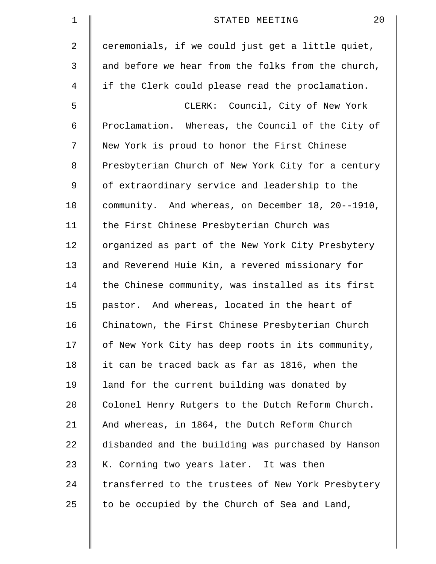| $\mathbf 1$ | 20<br>STATED MEETING                               |
|-------------|----------------------------------------------------|
| 2           | ceremonials, if we could just get a little quiet,  |
| 3           | and before we hear from the folks from the church, |
| 4           | if the Clerk could please read the proclamation.   |
| 5           | CLERK: Council, City of New York                   |
| 6           | Proclamation. Whereas, the Council of the City of  |
| 7           | New York is proud to honor the First Chinese       |
| 8           | Presbyterian Church of New York City for a century |
| 9           | of extraordinary service and leadership to the     |
| 10          | community. And whereas, on December 18, 20--1910,  |
| 11          | the First Chinese Presbyterian Church was          |
| 12          | organized as part of the New York City Presbytery  |
| 13          | and Reverend Huie Kin, a revered missionary for    |
| 14          | the Chinese community, was installed as its first  |
| 15          | pastor. And whereas, located in the heart of       |
| 16          | Chinatown, the First Chinese Presbyterian Church   |
| 17          | of New York City has deep roots in its community,  |
| 18          | it can be traced back as far as 1816, when the     |
| 19          | land for the current building was donated by       |
| 20          | Colonel Henry Rutgers to the Dutch Reform Church.  |
| 21          | And whereas, in 1864, the Dutch Reform Church      |
| 22          | disbanded and the building was purchased by Hanson |
| 23          | K. Corning two years later. It was then            |
| 24          | transferred to the trustees of New York Presbytery |
| 25          | to be occupied by the Church of Sea and Land,      |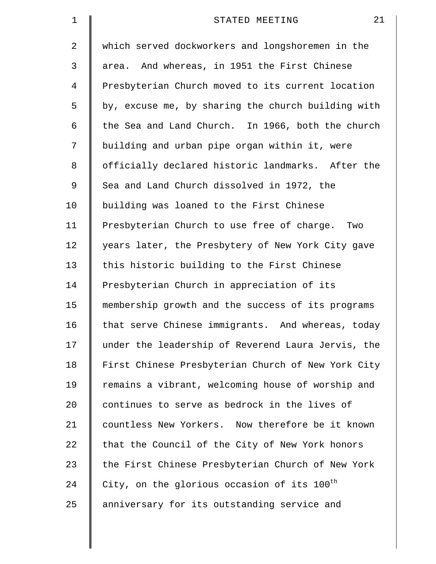| 1  | 21<br>STATED MEETING                                    |
|----|---------------------------------------------------------|
| 2  | which served dockworkers and longshoremen in the        |
| 3  | area. And whereas, in 1951 the First Chinese            |
| 4  | Presbyterian Church moved to its current location       |
| 5  | by, excuse me, by sharing the church building with      |
| 6  | the Sea and Land Church. In 1966, both the church       |
| 7  | building and urban pipe organ within it, were           |
| 8  | officially declared historic landmarks. After the       |
| 9  | Sea and Land Church dissolved in 1972, the              |
| 10 | building was loaned to the First Chinese                |
| 11 | Presbyterian Church to use free of charge. Two          |
| 12 | years later, the Presbytery of New York City gave       |
| 13 | this historic building to the First Chinese             |
| 14 | Presbyterian Church in appreciation of its              |
| 15 | membership growth and the success of its programs       |
| 16 | that serve Chinese immigrants. And whereas, today       |
| 17 | under the leadership of Reverend Laura Jervis, the      |
| 18 | First Chinese Presbyterian Church of New York City      |
| 19 | remains a vibrant, welcoming house of worship and       |
| 20 | continues to serve as bedrock in the lives of           |
| 21 | countless New Yorkers. Now therefore be it known        |
| 22 | that the Council of the City of New York honors         |
| 23 | the First Chinese Presbyterian Church of New York       |
| 24 | City, on the glorious occasion of its 100 <sup>th</sup> |
| 25 | anniversary for its outstanding service and             |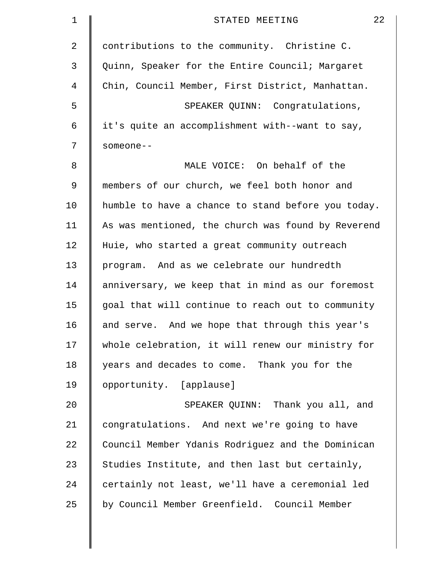| $\mathbf 1$    | 22<br>STATED MEETING                               |
|----------------|----------------------------------------------------|
| $\overline{2}$ | contributions to the community. Christine C.       |
| 3              | Quinn, Speaker for the Entire Council; Margaret    |
| 4              | Chin, Council Member, First District, Manhattan.   |
| 5              | SPEAKER QUINN: Congratulations,                    |
| 6              | it's quite an accomplishment with--want to say,    |
| 7              | someone--                                          |
| 8              | MALE VOICE: On behalf of the                       |
| $\mathsf 9$    | members of our church, we feel both honor and      |
| 10             | humble to have a chance to stand before you today. |
| 11             | As was mentioned, the church was found by Reverend |
| 12             | Huie, who started a great community outreach       |
| 13             | program. And as we celebrate our hundredth         |
| 14             | anniversary, we keep that in mind as our foremost  |
| 15             | goal that will continue to reach out to community  |
| 16             | and serve. And we hope that through this year's    |
| 17             | whole celebration, it will renew our ministry for  |
| 18             | years and decades to come. Thank you for the       |
| 19             | opportunity. [applause]                            |
| 20             | SPEAKER QUINN: Thank you all, and                  |
| 21             | congratulations. And next we're going to have      |
| 22             | Council Member Ydanis Rodriguez and the Dominican  |
| 23             | Studies Institute, and then last but certainly,    |
| 24             | certainly not least, we'll have a ceremonial led   |
| 25             | by Council Member Greenfield. Council Member       |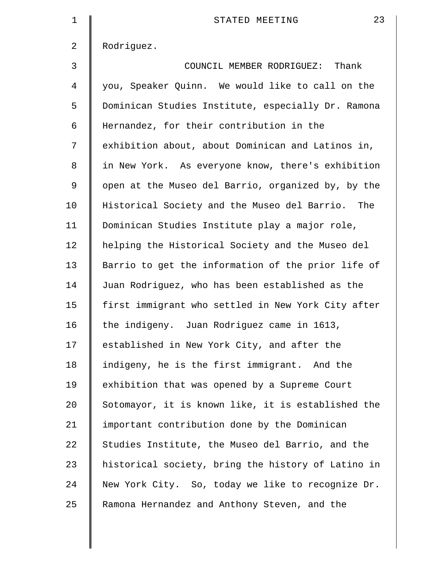| $\mathbf 1$    | 23<br>STATED MEETING                               |
|----------------|----------------------------------------------------|
| $\overline{a}$ | Rodriguez.                                         |
| 3              | COUNCIL MEMBER RODRIGUEZ: Thank                    |
| 4              | you, Speaker Quinn. We would like to call on the   |
| 5              | Dominican Studies Institute, especially Dr. Ramona |
| 6              | Hernandez, for their contribution in the           |
| 7              | exhibition about, about Dominican and Latinos in,  |
| 8              | in New York. As everyone know, there's exhibition  |
| 9              | open at the Museo del Barrio, organized by, by the |
| 10             | Historical Society and the Museo del Barrio. The   |
| 11             | Dominican Studies Institute play a major role,     |
| 12             | helping the Historical Society and the Museo del   |
| 13             | Barrio to get the information of the prior life of |
| 14             | Juan Rodriguez, who has been established as the    |
| 15             | first immigrant who settled in New York City after |
| 16             | the indigeny. Juan Rodriguez came in 1613,         |
| 17             | established in New York City, and after the        |
| 18             | indigeny, he is the first immigrant. And the       |
| 19             | exhibition that was opened by a Supreme Court      |
| 20             | Sotomayor, it is known like, it is established the |
| 21             | important contribution done by the Dominican       |
| 22             | Studies Institute, the Museo del Barrio, and the   |
| 23             | historical society, bring the history of Latino in |
| 24             | New York City. So, today we like to recognize Dr.  |
| 25             | Ramona Hernandez and Anthony Steven, and the       |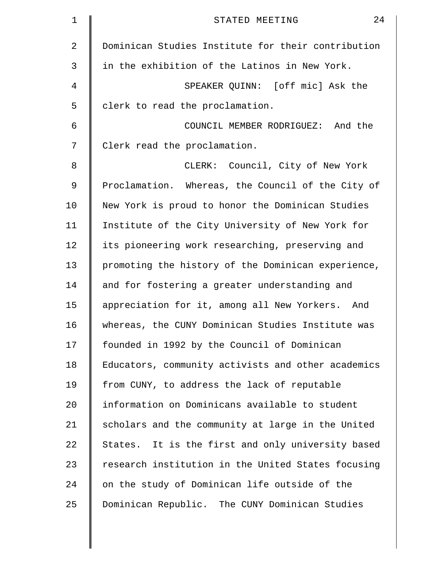| 1  | 24<br>STATED MEETING                               |
|----|----------------------------------------------------|
| 2  | Dominican Studies Institute for their contribution |
| 3  | in the exhibition of the Latinos in New York.      |
| 4  | SPEAKER QUINN: [off mic] Ask the                   |
| 5  | clerk to read the proclamation.                    |
| 6  | COUNCIL MEMBER RODRIGUEZ: And the                  |
| 7  | Clerk read the proclamation.                       |
| 8  | CLERK: Council, City of New York                   |
| 9  | Proclamation. Whereas, the Council of the City of  |
| 10 | New York is proud to honor the Dominican Studies   |
| 11 | Institute of the City University of New York for   |
| 12 | its pioneering work researching, preserving and    |
| 13 | promoting the history of the Dominican experience, |
| 14 | and for fostering a greater understanding and      |
| 15 | appreciation for it, among all New Yorkers. And    |
| 16 | whereas, the CUNY Dominican Studies Institute was  |
| 17 | founded in 1992 by the Council of Dominican        |
| 18 | Educators, community activists and other academics |
| 19 | from CUNY, to address the lack of reputable        |
| 20 | information on Dominicans available to student     |
| 21 | scholars and the community at large in the United  |
| 22 | States. It is the first and only university based  |
| 23 | research institution in the United States focusing |
| 24 | on the study of Dominican life outside of the      |
| 25 | Dominican Republic. The CUNY Dominican Studies     |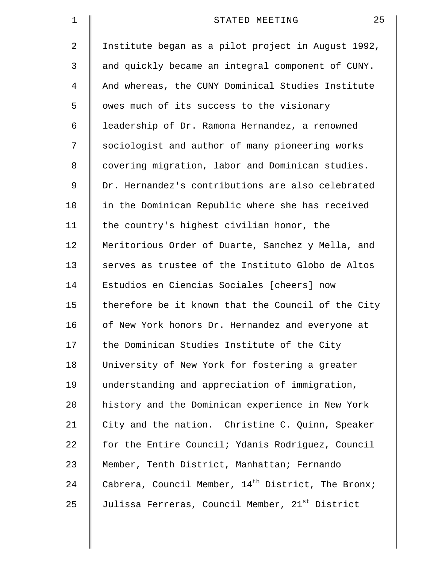| $\mathbf 1$    | 25<br>STATED MEETING                                           |
|----------------|----------------------------------------------------------------|
| $\overline{a}$ | Institute began as a pilot project in August 1992,             |
| 3              | and quickly became an integral component of CUNY.              |
| 4              | And whereas, the CUNY Dominical Studies Institute              |
| 5              | owes much of its success to the visionary                      |
| 6              | leadership of Dr. Ramona Hernandez, a renowned                 |
| 7              | sociologist and author of many pioneering works                |
| 8              | covering migration, labor and Dominican studies.               |
| 9              | Dr. Hernandez's contributions are also celebrated              |
| 10             | in the Dominican Republic where she has received               |
| 11             | the country's highest civilian honor, the                      |
| 12             | Meritorious Order of Duarte, Sanchez y Mella, and              |
| 13             | serves as trustee of the Instituto Globo de Altos              |
| 14             | Estudios en Ciencias Sociales [cheers] now                     |
| 15             | therefore be it known that the Council of the City             |
| 16             | of New York honors Dr. Hernandez and everyone at               |
| 17             | the Dominican Studies Institute of the City                    |
| 18             | University of New York for fostering a greater                 |
| 19             | understanding and appreciation of immigration,                 |
| 20             | history and the Dominican experience in New York               |
| 21             | City and the nation. Christine C. Quinn, Speaker               |
| 22             | for the Entire Council; Ydanis Rodriguez, Council              |
| 23             | Member, Tenth District, Manhattan; Fernando                    |
| 24             | Cabrera, Council Member, 14 <sup>th</sup> District, The Bronx; |
| 25             | Julissa Ferreras, Council Member, 21 <sup>st</sup> District    |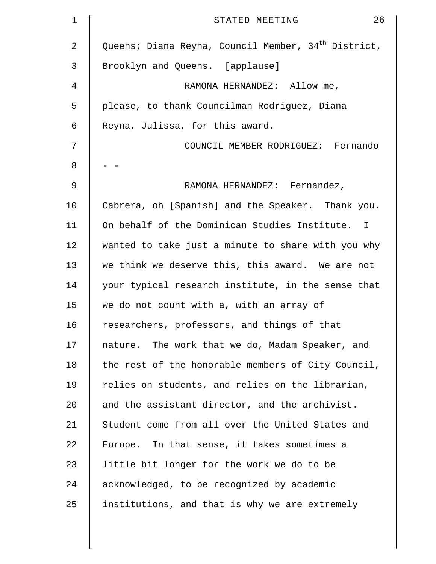| 1              | 26<br>STATED MEETING                                            |
|----------------|-----------------------------------------------------------------|
| 2              | Queens; Diana Reyna, Council Member, 34 <sup>th</sup> District, |
| 3              | Brooklyn and Queens. [applause]                                 |
| $\overline{4}$ | RAMONA HERNANDEZ: Allow me,                                     |
| 5              | please, to thank Councilman Rodriguez, Diana                    |
| 6              | Reyna, Julissa, for this award.                                 |
| 7              | COUNCIL MEMBER RODRIGUEZ: Fernando                              |
| 8              |                                                                 |
| 9              | RAMONA HERNANDEZ: Fernandez,                                    |
| 10             | Cabrera, oh [Spanish] and the Speaker. Thank you.               |
| 11             | On behalf of the Dominican Studies Institute. I                 |
| 12             | wanted to take just a minute to share with you why              |
| 13             | we think we deserve this, this award. We are not                |
| 14             | your typical research institute, in the sense that              |
| 15             | we do not count with a, with an array of                        |
| 16             | researchers, professors, and things of that                     |
| 17             | nature. The work that we do, Madam Speaker, and                 |
| 18             | the rest of the honorable members of City Council,              |
| 19             | relies on students, and relies on the librarian,                |
| 20             | and the assistant director, and the archivist.                  |
| 21             | Student come from all over the United States and                |
| 22             | Europe. In that sense, it takes sometimes a                     |
| 23             | little bit longer for the work we do to be                      |
| 24             | acknowledged, to be recognized by academic                      |
| 25             | institutions, and that is why we are extremely                  |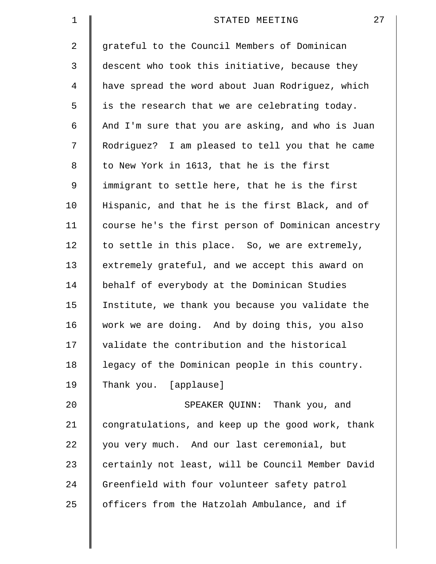| 1              | 27<br>STATED MEETING                               |
|----------------|----------------------------------------------------|
| $\overline{a}$ | grateful to the Council Members of Dominican       |
| 3              | descent who took this initiative, because they     |
| 4              | have spread the word about Juan Rodriguez, which   |
| 5              | is the research that we are celebrating today.     |
| 6              | And I'm sure that you are asking, and who is Juan  |
| 7              | Rodriguez? I am pleased to tell you that he came   |
| 8              | to New York in 1613, that he is the first          |
| 9              | immigrant to settle here, that he is the first     |
| 10             | Hispanic, and that he is the first Black, and of   |
| 11             | course he's the first person of Dominican ancestry |
| 12             | to settle in this place. So, we are extremely,     |
| 13             | extremely grateful, and we accept this award on    |
| 14             | behalf of everybody at the Dominican Studies       |
| 15             | Institute, we thank you because you validate the   |
| 16             | work we are doing. And by doing this, you also     |
| 17             | validate the contribution and the historical       |
| 18             | legacy of the Dominican people in this country.    |
| 19             | Thank you. [applause]                              |
| 20             | SPEAKER QUINN: Thank you, and                      |
| 21             | congratulations, and keep up the good work, thank  |
| 22             | you very much. And our last ceremonial, but        |
| 23             | certainly not least, will be Council Member David  |
| 24             | Greenfield with four volunteer safety patrol       |
| 25             | officers from the Hatzolah Ambulance, and if       |
|                |                                                    |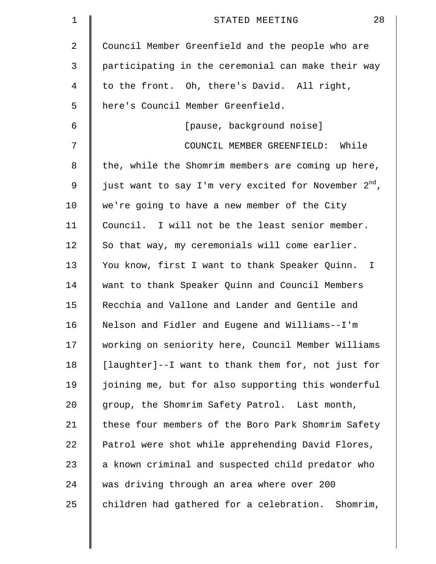| 1  | 28<br>STATED MEETING                                             |  |  |  |  |  |
|----|------------------------------------------------------------------|--|--|--|--|--|
| 2  | Council Member Greenfield and the people who are                 |  |  |  |  |  |
| 3  | participating in the ceremonial can make their way               |  |  |  |  |  |
| 4  | to the front. Oh, there's David. All right,                      |  |  |  |  |  |
| 5  | here's Council Member Greenfield.                                |  |  |  |  |  |
| 6  | [pause, background noise]                                        |  |  |  |  |  |
| 7  | COUNCIL MEMBER GREENFIELD: While                                 |  |  |  |  |  |
| 8  | the, while the Shomrim members are coming up here,               |  |  |  |  |  |
| 9  | just want to say I'm very excited for November 2 <sup>nd</sup> , |  |  |  |  |  |
| 10 | we're going to have a new member of the City                     |  |  |  |  |  |
| 11 | Council. I will not be the least senior member.                  |  |  |  |  |  |
| 12 | So that way, my ceremonials will come earlier.                   |  |  |  |  |  |
| 13 | You know, first I want to thank Speaker Quinn. I                 |  |  |  |  |  |
| 14 | want to thank Speaker Quinn and Council Members                  |  |  |  |  |  |
| 15 | Recchia and Vallone and Lander and Gentile and                   |  |  |  |  |  |
| 16 | Nelson and Fidler and Eugene and Williams--I'm                   |  |  |  |  |  |
| 17 | working on seniority here, Council Member Williams               |  |  |  |  |  |
| 18 | [laughter]--I want to thank them for, not just for               |  |  |  |  |  |
| 19 | joining me, but for also supporting this wonderful               |  |  |  |  |  |
| 20 | group, the Shomrim Safety Patrol. Last month,                    |  |  |  |  |  |
| 21 | these four members of the Boro Park Shomrim Safety               |  |  |  |  |  |
| 22 | Patrol were shot while apprehending David Flores,                |  |  |  |  |  |
| 23 | a known criminal and suspected child predator who                |  |  |  |  |  |
| 24 | was driving through an area where over 200                       |  |  |  |  |  |
| 25 | children had gathered for a celebration. Shomrim,                |  |  |  |  |  |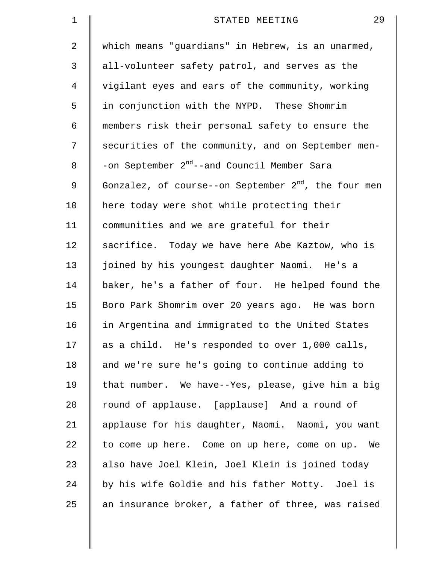| $\mathbf 1$    | 29<br>STATED MEETING                                             |  |  |  |  |  |
|----------------|------------------------------------------------------------------|--|--|--|--|--|
| 2              | which means "guardians" in Hebrew, is an unarmed,                |  |  |  |  |  |
| 3              | all-volunteer safety patrol, and serves as the                   |  |  |  |  |  |
| $\overline{4}$ | vigilant eyes and ears of the community, working                 |  |  |  |  |  |
| 5              | in conjunction with the NYPD. These Shomrim                      |  |  |  |  |  |
| 6              | members risk their personal safety to ensure the                 |  |  |  |  |  |
| 7              | securities of the community, and on September men-               |  |  |  |  |  |
| 8              | -on September 2 <sup>nd</sup> --and Council Member Sara          |  |  |  |  |  |
| 9              | Gonzalez, of course--on September 2 <sup>nd</sup> , the four men |  |  |  |  |  |
| 10             | here today were shot while protecting their                      |  |  |  |  |  |
| 11             | communities and we are grateful for their                        |  |  |  |  |  |
| 12             | sacrifice. Today we have here Abe Kaztow, who is                 |  |  |  |  |  |
| 13             | joined by his youngest daughter Naomi. He's a                    |  |  |  |  |  |
| 14             | baker, he's a father of four. He helped found the                |  |  |  |  |  |
| 15             | Boro Park Shomrim over 20 years ago. He was born                 |  |  |  |  |  |
| 16             | in Argentina and immigrated to the United States                 |  |  |  |  |  |
| 17             | as a child. He's responded to over 1,000 calls,                  |  |  |  |  |  |
| 18             | and we're sure he's going to continue adding to                  |  |  |  |  |  |
| 19             | that number. We have--Yes, please, give him a big                |  |  |  |  |  |
| 20             | round of applause. [applause] And a round of                     |  |  |  |  |  |
| 21             | applause for his daughter, Naomi. Naomi, you want                |  |  |  |  |  |
| 22             | to come up here. Come on up here, come on up. We                 |  |  |  |  |  |
| 23             | also have Joel Klein, Joel Klein is joined today                 |  |  |  |  |  |
| 24             | by his wife Goldie and his father Motty. Joel is                 |  |  |  |  |  |
| 25             | an insurance broker, a father of three, was raised               |  |  |  |  |  |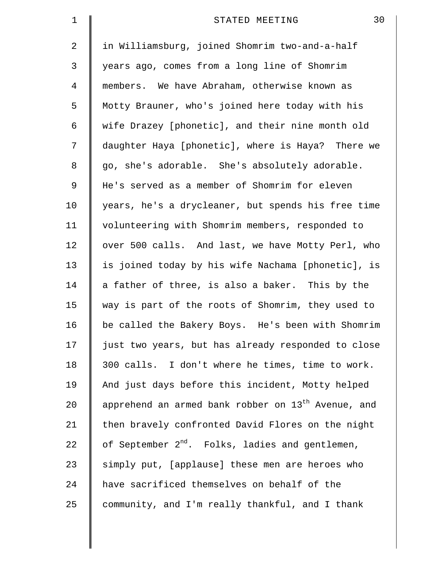| $\mathbf 1$     | 30<br>STATED MEETING                                           |  |  |  |  |  |
|-----------------|----------------------------------------------------------------|--|--|--|--|--|
| 2               | in Williamsburg, joined Shomrim two-and-a-half                 |  |  |  |  |  |
| 3               | years ago, comes from a long line of Shomrim                   |  |  |  |  |  |
| 4               | members. We have Abraham, otherwise known as                   |  |  |  |  |  |
| 5               | Motty Brauner, who's joined here today with his                |  |  |  |  |  |
| 6               | wife Drazey [phonetic], and their nine month old               |  |  |  |  |  |
| 7               | daughter Haya [phonetic], where is Haya? There we              |  |  |  |  |  |
| 8               | go, she's adorable. She's absolutely adorable.                 |  |  |  |  |  |
| $\mathsf 9$     | He's served as a member of Shomrim for eleven                  |  |  |  |  |  |
| 10              | years, he's a drycleaner, but spends his free time             |  |  |  |  |  |
| 11              | volunteering with Shomrim members, responded to                |  |  |  |  |  |
| 12              | over 500 calls. And last, we have Motty Perl, who              |  |  |  |  |  |
| 13              | is joined today by his wife Nachama [phonetic], is             |  |  |  |  |  |
| 14              | a father of three, is also a baker. This by the                |  |  |  |  |  |
| 15              | way is part of the roots of Shomrim, they used to              |  |  |  |  |  |
| 16              | be called the Bakery Boys. He's been with Shomrim              |  |  |  |  |  |
| 17              | just two years, but has already responded to close             |  |  |  |  |  |
| 18              | 300 calls. I don't where he times, time to work.               |  |  |  |  |  |
| 19              | And just days before this incident, Motty helped               |  |  |  |  |  |
| 20 <sub>o</sub> | apprehend an armed bank robber on 13 <sup>th</sup> Avenue, and |  |  |  |  |  |
| 21              | then bravely confronted David Flores on the night              |  |  |  |  |  |
| 22              | of September 2 <sup>nd</sup> . Folks, ladies and gentlemen,    |  |  |  |  |  |
| 23              | simply put, [applause] these men are heroes who                |  |  |  |  |  |
| 24              | have sacrificed themselves on behalf of the                    |  |  |  |  |  |
| 25              | community, and I'm really thankful, and I thank                |  |  |  |  |  |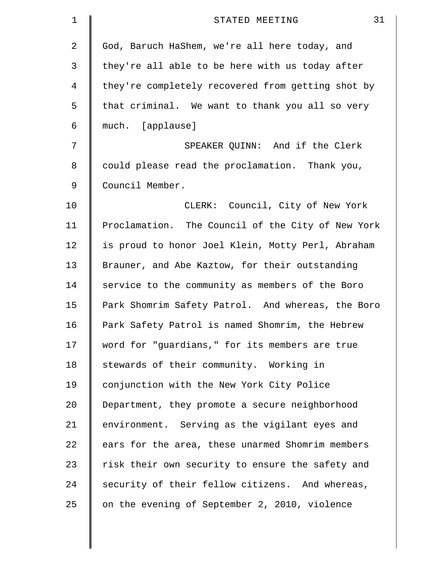| 1              | 31<br>STATED MEETING                              |  |  |  |  |  |
|----------------|---------------------------------------------------|--|--|--|--|--|
| 2              | God, Baruch HaShem, we're all here today, and     |  |  |  |  |  |
| 3              | they're all able to be here with us today after   |  |  |  |  |  |
| $\overline{4}$ | they're completely recovered from getting shot by |  |  |  |  |  |
| 5              | that criminal. We want to thank you all so very   |  |  |  |  |  |
| 6              | much. [applause]                                  |  |  |  |  |  |
| 7              | SPEAKER QUINN: And if the Clerk                   |  |  |  |  |  |
| 8              | could please read the proclamation. Thank you,    |  |  |  |  |  |
| 9              | Council Member.                                   |  |  |  |  |  |
| 10             | CLERK: Council, City of New York                  |  |  |  |  |  |
| 11             | Proclamation. The Council of the City of New York |  |  |  |  |  |
| 12             | is proud to honor Joel Klein, Motty Perl, Abraham |  |  |  |  |  |
| 13             | Brauner, and Abe Kaztow, for their outstanding    |  |  |  |  |  |
| 14             | service to the community as members of the Boro   |  |  |  |  |  |
| 15             | Park Shomrim Safety Patrol. And whereas, the Boro |  |  |  |  |  |
| 16             | Park Safety Patrol is named Shomrim, the Hebrew   |  |  |  |  |  |
| 17             | word for "quardians," for its members are true    |  |  |  |  |  |
| 18             | stewards of their community. Working in           |  |  |  |  |  |
| 19             | conjunction with the New York City Police         |  |  |  |  |  |
| 20             | Department, they promote a secure neighborhood    |  |  |  |  |  |
| 21             | environment. Serving as the vigilant eyes and     |  |  |  |  |  |
| 22             | ears for the area, these unarmed Shomrim members  |  |  |  |  |  |
| 23             | risk their own security to ensure the safety and  |  |  |  |  |  |
| 24             | security of their fellow citizens. And whereas,   |  |  |  |  |  |
| 25             | on the evening of September 2, 2010, violence     |  |  |  |  |  |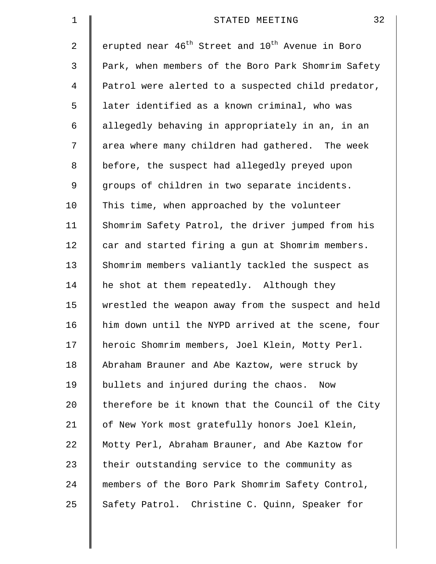| $\mathbf 1$    | 32<br>STATED MEETING                                                     |  |  |  |  |  |
|----------------|--------------------------------------------------------------------------|--|--|--|--|--|
| 2              | erupted near 46 <sup>th</sup> Street and 10 <sup>th</sup> Avenue in Boro |  |  |  |  |  |
| 3              | Park, when members of the Boro Park Shomrim Safety                       |  |  |  |  |  |
| $\overline{4}$ | Patrol were alerted to a suspected child predator,                       |  |  |  |  |  |
| 5              | later identified as a known criminal, who was                            |  |  |  |  |  |
| 6              | allegedly behaving in appropriately in an, in an                         |  |  |  |  |  |
| 7              | area where many children had gathered. The week                          |  |  |  |  |  |
| 8              | before, the suspect had allegedly preyed upon                            |  |  |  |  |  |
| 9              | groups of children in two separate incidents.                            |  |  |  |  |  |
| 10             | This time, when approached by the volunteer                              |  |  |  |  |  |
| 11             | Shomrim Safety Patrol, the driver jumped from his                        |  |  |  |  |  |
| 12             | car and started firing a gun at Shomrim members.                         |  |  |  |  |  |
| 13             | Shomrim members valiantly tackled the suspect as                         |  |  |  |  |  |
| 14             | he shot at them repeatedly. Although they                                |  |  |  |  |  |
| 15             | wrestled the weapon away from the suspect and held                       |  |  |  |  |  |
| 16             | him down until the NYPD arrived at the scene, four                       |  |  |  |  |  |
| 17             | heroic Shomrim members, Joel Klein, Motty Perl.                          |  |  |  |  |  |
| 18             | Abraham Brauner and Abe Kaztow, were struck by                           |  |  |  |  |  |
| 19             | bullets and injured during the chaos.<br>Now                             |  |  |  |  |  |
| 20             | therefore be it known that the Council of the City                       |  |  |  |  |  |
| 21             | of New York most gratefully honors Joel Klein,                           |  |  |  |  |  |
| 22             | Motty Perl, Abraham Brauner, and Abe Kaztow for                          |  |  |  |  |  |
| 23             | their outstanding service to the community as                            |  |  |  |  |  |
| 24             | members of the Boro Park Shomrim Safety Control,                         |  |  |  |  |  |
| 25             | Safety Patrol. Christine C. Quinn, Speaker for                           |  |  |  |  |  |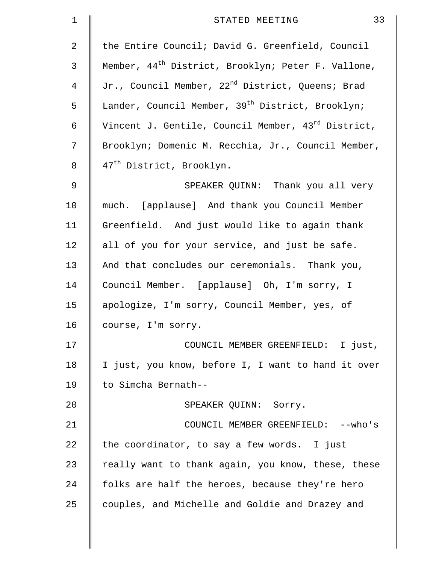| $\mathbf 1$ | 33<br>STATED MEETING                                           |  |  |  |  |  |
|-------------|----------------------------------------------------------------|--|--|--|--|--|
| 2           | the Entire Council; David G. Greenfield, Council               |  |  |  |  |  |
| 3           | Member, 44 <sup>th</sup> District, Brooklyn; Peter F. Vallone, |  |  |  |  |  |
| 4           | Jr., Council Member, 22 <sup>nd</sup> District, Queens; Brad   |  |  |  |  |  |
| 5           | Lander, Council Member, 39 <sup>th</sup> District, Brooklyn;   |  |  |  |  |  |
| 6           | Vincent J. Gentile, Council Member, 43rd District,             |  |  |  |  |  |
| 7           | Brooklyn; Domenic M. Recchia, Jr., Council Member,             |  |  |  |  |  |
| 8           | 47 <sup>th</sup> District, Brooklyn.                           |  |  |  |  |  |
| 9           | SPEAKER QUINN: Thank you all very                              |  |  |  |  |  |
| 10          | much. [applause] And thank you Council Member                  |  |  |  |  |  |
| 11          | Greenfield. And just would like to again thank                 |  |  |  |  |  |
| 12          | all of you for your service, and just be safe.                 |  |  |  |  |  |
| 13          | And that concludes our ceremonials. Thank you,                 |  |  |  |  |  |
| 14          | Council Member. [applause] Oh, I'm sorry, I                    |  |  |  |  |  |
| 15          | apologize, I'm sorry, Council Member, yes, of                  |  |  |  |  |  |
| 16          | course, I'm sorry.                                             |  |  |  |  |  |
| 17          | COUNCIL MEMBER GREENFIELD: I just,                             |  |  |  |  |  |
| 18          | I just, you know, before I, I want to hand it over             |  |  |  |  |  |
| 19          | to Simcha Bernath--                                            |  |  |  |  |  |
| 20          | SPEAKER QUINN: Sorry.                                          |  |  |  |  |  |
| 21          | COUNCIL MEMBER GREENFIELD: -- who's                            |  |  |  |  |  |
| 22          | the coordinator, to say a few words. I just                    |  |  |  |  |  |
| 23          | really want to thank again, you know, these, these             |  |  |  |  |  |
| 24          | folks are half the heroes, because they're hero                |  |  |  |  |  |
| 25          | couples, and Michelle and Goldie and Drazey and                |  |  |  |  |  |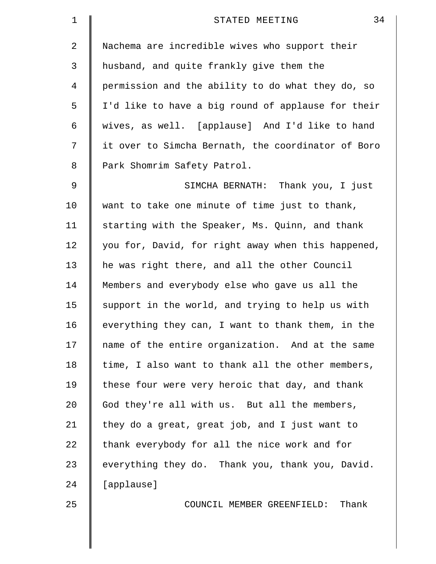| $\mathbf 1$ | 34<br>STATED MEETING                               |  |  |  |  |  |
|-------------|----------------------------------------------------|--|--|--|--|--|
| 2           | Nachema are incredible wives who support their     |  |  |  |  |  |
| 3           | husband, and quite frankly give them the           |  |  |  |  |  |
| 4           | permission and the ability to do what they do, so  |  |  |  |  |  |
| 5           | I'd like to have a big round of applause for their |  |  |  |  |  |
| 6           | wives, as well. [applause] And I'd like to hand    |  |  |  |  |  |
| 7           | it over to Simcha Bernath, the coordinator of Boro |  |  |  |  |  |
| 8           | Park Shomrim Safety Patrol.                        |  |  |  |  |  |
| 9           | SIMCHA BERNATH: Thank you, I just                  |  |  |  |  |  |
| 10          | want to take one minute of time just to thank,     |  |  |  |  |  |
| 11          | starting with the Speaker, Ms. Quinn, and thank    |  |  |  |  |  |
| 12          | you for, David, for right away when this happened, |  |  |  |  |  |
| 13          | he was right there, and all the other Council      |  |  |  |  |  |
| 14          | Members and everybody else who gave us all the     |  |  |  |  |  |
| 15          | support in the world, and trying to help us with   |  |  |  |  |  |
| 16          | everything they can, I want to thank them, in the  |  |  |  |  |  |
| 17          | name of the entire organization. And at the same   |  |  |  |  |  |
| 18          | time, I also want to thank all the other members,  |  |  |  |  |  |
| 19          | these four were very heroic that day, and thank    |  |  |  |  |  |
| 20          | God they're all with us. But all the members,      |  |  |  |  |  |
| 21          | they do a great, great job, and I just want to     |  |  |  |  |  |
| 22          | thank everybody for all the nice work and for      |  |  |  |  |  |
| 23          | everything they do. Thank you, thank you, David.   |  |  |  |  |  |
| 24          | [applause]                                         |  |  |  |  |  |
| 25          | COUNCIL MEMBER GREENFIELD: Thank                   |  |  |  |  |  |
|             |                                                    |  |  |  |  |  |
|             |                                                    |  |  |  |  |  |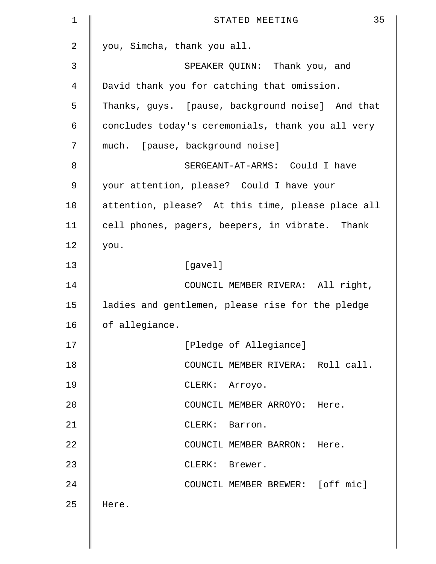| 1  | 35<br>STATED MEETING                              |  |  |  |  |  |  |
|----|---------------------------------------------------|--|--|--|--|--|--|
| 2  | you, Simcha, thank you all.                       |  |  |  |  |  |  |
| 3  | SPEAKER QUINN: Thank you, and                     |  |  |  |  |  |  |
| 4  | David thank you for catching that omission.       |  |  |  |  |  |  |
| 5  | Thanks, guys. [pause, background noise] And that  |  |  |  |  |  |  |
| 6  | concludes today's ceremonials, thank you all very |  |  |  |  |  |  |
| 7  | much. [pause, background noise]                   |  |  |  |  |  |  |
| 8  | SERGEANT-AT-ARMS: Could I have                    |  |  |  |  |  |  |
| 9  | your attention, please? Could I have your         |  |  |  |  |  |  |
| 10 | attention, please? At this time, please place all |  |  |  |  |  |  |
| 11 | cell phones, pagers, beepers, in vibrate. Thank   |  |  |  |  |  |  |
| 12 | you.                                              |  |  |  |  |  |  |
| 13 | [gavel]                                           |  |  |  |  |  |  |
| 14 | COUNCIL MEMBER RIVERA: All right,                 |  |  |  |  |  |  |
| 15 | ladies and gentlemen, please rise for the pledge  |  |  |  |  |  |  |
| 16 | of allegiance.                                    |  |  |  |  |  |  |
| 17 | [Pledge of Allegiance]                            |  |  |  |  |  |  |
| 18 | COUNCIL MEMBER RIVERA: Roll call.                 |  |  |  |  |  |  |
| 19 | CLERK: Arroyo.                                    |  |  |  |  |  |  |
| 20 | COUNCIL MEMBER ARROYO: Here.                      |  |  |  |  |  |  |
| 21 | CLERK: Barron.                                    |  |  |  |  |  |  |
| 22 | COUNCIL MEMBER BARRON: Here.                      |  |  |  |  |  |  |
| 23 | CLERK: Brewer.                                    |  |  |  |  |  |  |
| 24 | COUNCIL MEMBER BREWER: [off mic]                  |  |  |  |  |  |  |
| 25 | Here.                                             |  |  |  |  |  |  |
|    |                                                   |  |  |  |  |  |  |
|    |                                                   |  |  |  |  |  |  |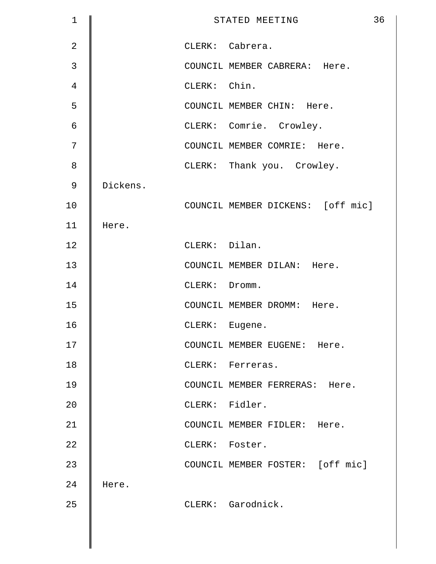| $\mathbf 1$    |          |                | STATED MEETING                    | 36 |
|----------------|----------|----------------|-----------------------------------|----|
| $\overline{2}$ |          |                | CLERK: Cabrera.                   |    |
| $\mathfrak{Z}$ |          |                | COUNCIL MEMBER CABRERA: Here.     |    |
| $\overline{4}$ |          | CLERK: Chin.   |                                   |    |
| 5              |          |                | COUNCIL MEMBER CHIN: Here.        |    |
| 6              |          |                | CLERK: Comrie. Crowley.           |    |
| 7              |          |                | COUNCIL MEMBER COMRIE: Here.      |    |
| $\,8\,$        |          |                | CLERK: Thank you. Crowley.        |    |
| $\mathsf 9$    | Dickens. |                |                                   |    |
| 10             |          |                | COUNCIL MEMBER DICKENS: [off mic] |    |
| 11             | Here.    |                |                                   |    |
| 12             |          | CLERK: Dilan.  |                                   |    |
| 13             |          |                | COUNCIL MEMBER DILAN: Here.       |    |
| 14             |          | CLERK: Dromm.  |                                   |    |
| 15             |          |                | COUNCIL MEMBER DROMM: Here.       |    |
| 16             |          | CLERK: Eugene. |                                   |    |
| 17             |          |                | COUNCIL MEMBER EUGENE: Here.      |    |
| 18             |          |                | CLERK: Ferreras.                  |    |
| 19             |          |                | COUNCIL MEMBER FERRERAS: Here.    |    |
| 20             |          | CLERK: Fidler. |                                   |    |
| 21             |          |                | COUNCIL MEMBER FIDLER: Here.      |    |
| 22             |          |                | CLERK: Foster.                    |    |
| 23             |          |                | COUNCIL MEMBER FOSTER: [off mic]  |    |
| 24             | Here.    |                |                                   |    |
| 25             |          |                | CLERK: Garodnick.                 |    |
|                |          |                |                                   |    |
|                |          |                |                                   |    |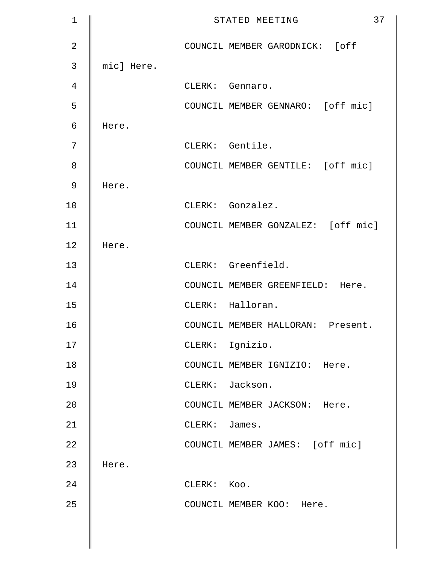| $\mathbf 1$    |            |               | 37<br>STATED MEETING               |
|----------------|------------|---------------|------------------------------------|
| $\overline{2}$ |            |               | COUNCIL MEMBER GARODNICK: [off     |
| 3              | mic] Here. |               |                                    |
| 4              |            |               | CLERK: Gennaro.                    |
| 5              |            |               | COUNCIL MEMBER GENNARO: [off mic]  |
| 6              | Here.      |               |                                    |
| 7              |            |               | CLERK: Gentile.                    |
| 8              |            |               | COUNCIL MEMBER GENTILE: [off mic]  |
| 9              | Here.      |               |                                    |
| 10             |            |               | CLERK: Gonzalez.                   |
| 11             |            |               | COUNCIL MEMBER GONZALEZ: [off mic] |
| 12             | Here.      |               |                                    |
| 13             |            |               | CLERK: Greenfield.                 |
| 14             |            |               | COUNCIL MEMBER GREENFIELD: Here.   |
| 15             |            |               | CLERK: Halloran.                   |
| 16             |            |               | COUNCIL MEMBER HALLORAN: Present.  |
| 17             |            |               | CLERK: Ignizio.                    |
| 18             |            |               | COUNCIL MEMBER IGNIZIO: Here.      |
| 19             |            |               | CLERK: Jackson.                    |
| 20             |            |               | COUNCIL MEMBER JACKSON: Here.      |
| 21             |            | CLERK: James. |                                    |
| 22             |            |               | COUNCIL MEMBER JAMES: [off mic]    |
| 23             | Here.      |               |                                    |
| 24             |            | CLERK: Koo.   |                                    |
| 25             |            |               | COUNCIL MEMBER KOO: Here.          |
|                |            |               |                                    |
|                |            |               |                                    |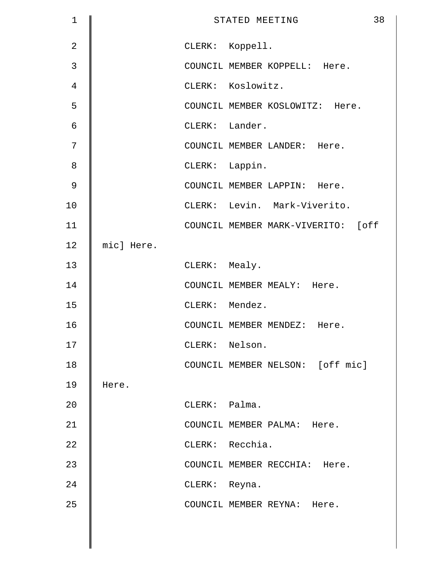| $\mathbf 1$    |            |               | 38<br>STATED MEETING               |
|----------------|------------|---------------|------------------------------------|
| $\overline{2}$ |            |               | CLERK: Koppell.                    |
| 3              |            |               | COUNCIL MEMBER KOPPELL: Here.      |
| 4              |            |               | CLERK: Koslowitz.                  |
| 5              |            |               | COUNCIL MEMBER KOSLOWITZ: Here.    |
| 6              |            |               | CLERK: Lander.                     |
| 7              |            |               | COUNCIL MEMBER LANDER: Here.       |
| 8              |            |               | CLERK: Lappin.                     |
| 9              |            |               | COUNCIL MEMBER LAPPIN: Here.       |
| 10             |            |               | CLERK: Levin. Mark-Viverito.       |
| 11             |            |               | COUNCIL MEMBER MARK-VIVERITO: [off |
| 12             | mic] Here. |               |                                    |
| 13             |            | CLERK: Mealy. |                                    |
| 14             |            |               | COUNCIL MEMBER MEALY: Here.        |
| 15             |            |               | CLERK: Mendez.                     |
| 16             |            |               | COUNCIL MEMBER MENDEZ: Here.       |
| 17             |            |               | CLERK: Nelson.                     |
| 18             |            |               | COUNCIL MEMBER NELSON: [off mic]   |
| 19             | Here.      |               |                                    |
| 20             |            | CLERK: Palma. |                                    |
| 21             |            |               | COUNCIL MEMBER PALMA: Here.        |
| 22             |            |               | CLERK: Recchia.                    |
| 23             |            |               | COUNCIL MEMBER RECCHIA: Here.      |
| 24             |            | CLERK: Reyna. |                                    |
| 25             |            |               | COUNCIL MEMBER REYNA: Here.        |
|                |            |               |                                    |
|                |            |               |                                    |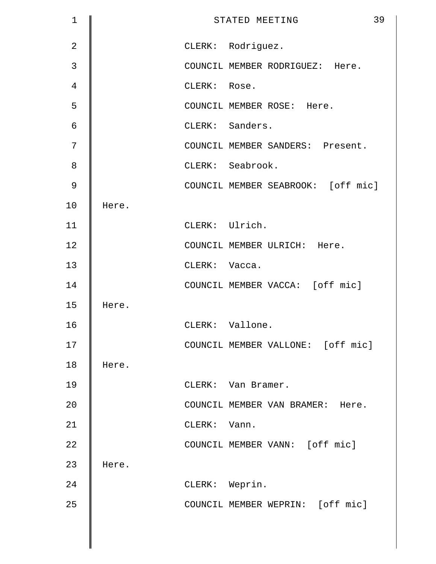| $\mathbf 1$    |       |                | 39<br>STATED MEETING               |
|----------------|-------|----------------|------------------------------------|
| $\overline{2}$ |       |                | CLERK: Rodriguez.                  |
| 3              |       |                | COUNCIL MEMBER RODRIGUEZ: Here.    |
| 4              |       | CLERK: Rose.   |                                    |
| 5              |       |                | COUNCIL MEMBER ROSE: Here.         |
| $\sigma$       |       |                | CLERK: Sanders.                    |
| 7              |       |                | COUNCIL MEMBER SANDERS: Present.   |
| 8              |       |                | CLERK: Seabrook.                   |
| 9              |       |                | COUNCIL MEMBER SEABROOK: [off mic] |
| 10             | Here. |                |                                    |
| 11             |       |                | CLERK: Ulrich.                     |
| 12             |       |                | COUNCIL MEMBER ULRICH: Here.       |
| 13             |       | CLERK: Vacca.  |                                    |
| 14             |       |                | COUNCIL MEMBER VACCA: [off mic]    |
| 15             | Here. |                |                                    |
| 16             |       |                | CLERK: Vallone.                    |
| 17             |       |                | COUNCIL MEMBER VALLONE: [off mic]  |
| 18             | Here. |                |                                    |
| 19             |       |                | CLERK: Van Bramer.                 |
| 20             |       |                | COUNCIL MEMBER VAN BRAMER: Here.   |
| 21             |       | CLERK: Vann.   |                                    |
| 22             |       |                | COUNCIL MEMBER VANN: [off mic]     |
| 23             | Here. |                |                                    |
| 24             |       | CLERK: Weprin. |                                    |
| 25             |       |                | COUNCIL MEMBER WEPRIN: [off mic]   |
|                |       |                |                                    |
|                |       |                |                                    |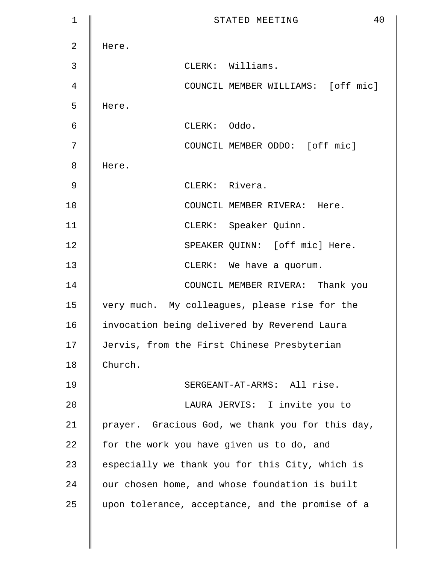| $\mathbf 1$    | 40<br>STATED MEETING                             |
|----------------|--------------------------------------------------|
| $\overline{2}$ | Here.                                            |
| 3              | CLERK: Williams.                                 |
| $\overline{4}$ | COUNCIL MEMBER WILLIAMS: [off mic]               |
| 5              | Here.                                            |
| 6              | CLERK: Oddo.                                     |
| 7              | COUNCIL MEMBER ODDO: [off mic]                   |
| 8              | Here.                                            |
| 9              | CLERK: Rivera.                                   |
| 10             | COUNCIL MEMBER RIVERA: Here.                     |
| 11             | CLERK: Speaker Quinn.                            |
| 12             | SPEAKER QUINN: [off mic] Here.                   |
| 13             | CLERK: We have a quorum.                         |
| 14             | COUNCIL MEMBER RIVERA: Thank you                 |
| 15             | very much. My colleagues, please rise for the    |
| 16             | invocation being delivered by Reverend Laura     |
| 17             | Jervis, from the First Chinese Presbyterian      |
| 18             | Church.                                          |
| 19             | SERGEANT-AT-ARMS: All rise.                      |
| 20             | LAURA JERVIS: I invite you to                    |
| 21             | prayer. Gracious God, we thank you for this day, |
| 22             | for the work you have given us to do, and        |
| 23             | especially we thank you for this City, which is  |
| 24             | our chosen home, and whose foundation is built   |
| 25             | upon tolerance, acceptance, and the promise of a |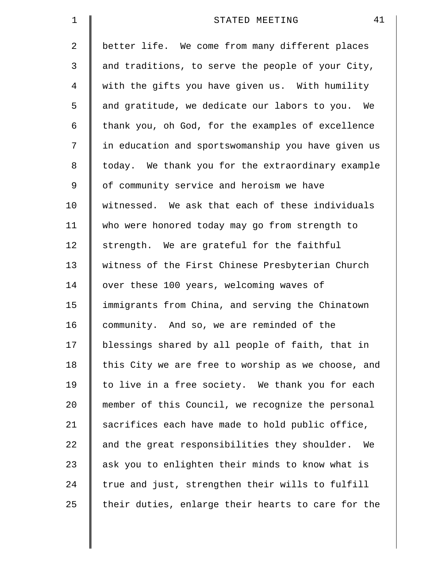| $\mathbf 1$ | 41<br>STATED MEETING                                |
|-------------|-----------------------------------------------------|
| 2           | better life. We come from many different places     |
| 3           | and traditions, to serve the people of your City,   |
| 4           | with the gifts you have given us. With humility     |
| 5           | and gratitude, we dedicate our labors to you. We    |
| 6           | thank you, oh God, for the examples of excellence   |
| 7           | in education and sportswomanship you have given us  |
| 8           | today. We thank you for the extraordinary example   |
| 9           | of community service and heroism we have            |
| 10          | witnessed. We ask that each of these individuals    |
| 11          | who were honored today may go from strength to      |
| 12          | strength. We are grateful for the faithful          |
| 13          | witness of the First Chinese Presbyterian Church    |
| 14          | over these 100 years, welcoming waves of            |
| 15          | immigrants from China, and serving the Chinatown    |
| 16          | community. And so, we are reminded of the           |
| 17          | blessings shared by all people of faith, that in    |
| 18          | this City we are free to worship as we choose, and  |
| 19          | to live in a free society. We thank you for each    |
| 20          | member of this Council, we recognize the personal   |
| 21          | sacrifices each have made to hold public office,    |
| 22          | and the great responsibilities they shoulder.<br>We |
| 23          | ask you to enlighten their minds to know what is    |
| 24          | true and just, strengthen their wills to fulfill    |
| 25          | their duties, enlarge their hearts to care for the  |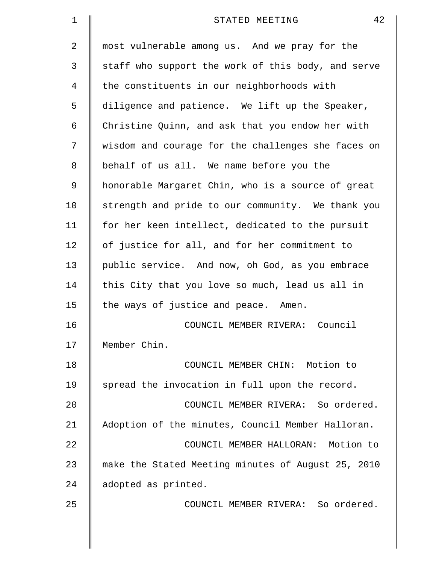| 1  | 42<br>STATED MEETING                               |
|----|----------------------------------------------------|
| 2  | most vulnerable among us. And we pray for the      |
| 3  | staff who support the work of this body, and serve |
| 4  | the constituents in our neighborhoods with         |
| 5  | diligence and patience. We lift up the Speaker,    |
| 6  | Christine Quinn, and ask that you endow her with   |
| 7  | wisdom and courage for the challenges she faces on |
| 8  | behalf of us all. We name before you the           |
| 9  | honorable Margaret Chin, who is a source of great  |
| 10 | strength and pride to our community. We thank you  |
| 11 | for her keen intellect, dedicated to the pursuit   |
| 12 | of justice for all, and for her commitment to      |
| 13 | public service. And now, oh God, as you embrace    |
| 14 | this City that you love so much, lead us all in    |
| 15 | the ways of justice and peace. Amen.               |
| 16 | COUNCIL MEMBER RIVERA: Council                     |
| 17 | Member Chin.                                       |
| 18 | COUNCIL MEMBER CHIN: Motion to                     |
| 19 | spread the invocation in full upon the record.     |
| 20 | COUNCIL MEMBER RIVERA: So ordered.                 |
| 21 | Adoption of the minutes, Council Member Halloran.  |
| 22 | COUNCIL MEMBER HALLORAN: Motion to                 |
| 23 | make the Stated Meeting minutes of August 25, 2010 |
| 24 | adopted as printed.                                |
| 25 | COUNCIL MEMBER RIVERA: So ordered.                 |
|    |                                                    |
|    |                                                    |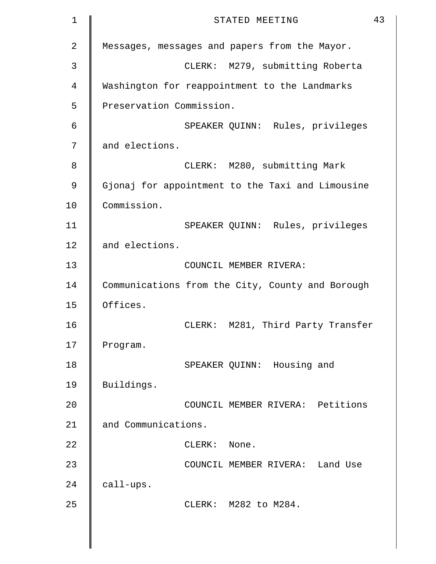| $\mathbf 1$ | STATED MEETING                                   | 43 |
|-------------|--------------------------------------------------|----|
| 2           | Messages, messages and papers from the Mayor.    |    |
| 3           | CLERK: M279, submitting Roberta                  |    |
| 4           | Washington for reappointment to the Landmarks    |    |
| 5           | Preservation Commission.                         |    |
| 6           | SPEAKER QUINN: Rules, privileges                 |    |
| 7           | and elections.                                   |    |
| 8           | CLERK: M280, submitting Mark                     |    |
| 9           | Gjonaj for appointment to the Taxi and Limousine |    |
| 10          | Commission.                                      |    |
| 11          | SPEAKER QUINN: Rules, privileges                 |    |
| 12          | and elections.                                   |    |
| 13          | COUNCIL MEMBER RIVERA:                           |    |
| 14          | Communications from the City, County and Borough |    |
| 15          | Offices.                                         |    |
| 16          | CLERK: M281, Third Party Transfer                |    |
| 17          | Program.                                         |    |
| 18          | SPEAKER QUINN: Housing and                       |    |
| 19          | Buildings.                                       |    |
| 20          | COUNCIL MEMBER RIVERA: Petitions                 |    |
| 21          | and Communications.                              |    |
| 22          | CLERK: None.                                     |    |
| 23          | COUNCIL MEMBER RIVERA: Land Use                  |    |
| 24          | call-ups.                                        |    |
| 25          | CLERK: M282 to M284.                             |    |
|             |                                                  |    |
|             |                                                  |    |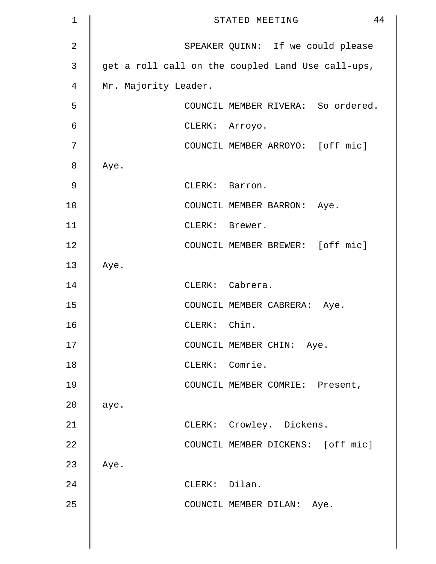| $\mathbf 1$    | 44<br>STATED MEETING                              |
|----------------|---------------------------------------------------|
| $\overline{2}$ | SPEAKER QUINN: If we could please                 |
| 3              | get a roll call on the coupled Land Use call-ups, |
| 4              | Mr. Majority Leader.                              |
| 5              | COUNCIL MEMBER RIVERA: So ordered.                |
| 6              | CLERK: Arroyo.                                    |
| 7              | COUNCIL MEMBER ARROYO: [off mic]                  |
| 8              | Aye.                                              |
| 9              | CLERK: Barron.                                    |
| 10             | COUNCIL MEMBER BARRON: Aye.                       |
| 11             | CLERK: Brewer.                                    |
| 12             | COUNCIL MEMBER BREWER: [off mic]                  |
| 13             | Aye.                                              |
| 14             | CLERK: Cabrera.                                   |
| 15             | COUNCIL MEMBER CABRERA: Aye.                      |
| 16             | CLERK: Chin.                                      |
| 17             | COUNCIL MEMBER CHIN: Aye.                         |
| 18             | CLERK: Comrie.                                    |
| 19             | COUNCIL MEMBER COMRIE: Present,                   |
| 20             | aye.                                              |
| 21             | CLERK: Crowley. Dickens.                          |
| 22             | COUNCIL MEMBER DICKENS: [off mic]                 |
| 23             | Aye.                                              |
| 24             | CLERK: Dilan.                                     |
| 25             | COUNCIL MEMBER DILAN: Aye.                        |
|                |                                                   |
|                |                                                   |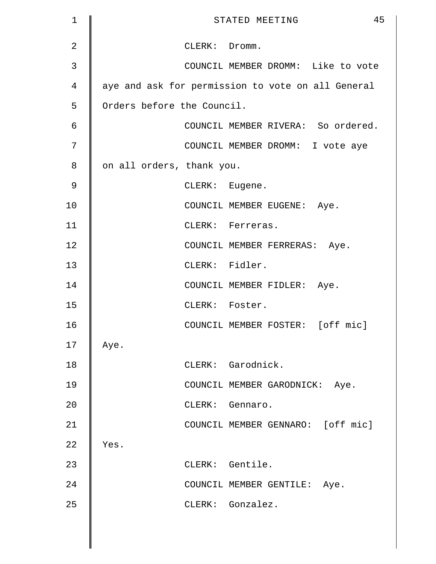| $\mathbf 1$ |                            | STATED MEETING                                    | 45 |
|-------------|----------------------------|---------------------------------------------------|----|
| 2           |                            | CLERK: Dromm.                                     |    |
| 3           |                            | COUNCIL MEMBER DROMM: Like to vote                |    |
| 4           |                            | aye and ask for permission to vote on all General |    |
| 5           | Orders before the Council. |                                                   |    |
| 6           |                            | COUNCIL MEMBER RIVERA: So ordered.                |    |
| 7           |                            | COUNCIL MEMBER DROMM: I vote aye                  |    |
| 8           | on all orders, thank you.  |                                                   |    |
| $\mathsf 9$ |                            | CLERK: Eugene.                                    |    |
| 10          |                            | COUNCIL MEMBER EUGENE: Aye.                       |    |
| 11          |                            | CLERK: Ferreras.                                  |    |
| 12          |                            | COUNCIL MEMBER FERRERAS: Aye.                     |    |
| 13          |                            | CLERK: Fidler.                                    |    |
| 14          |                            | COUNCIL MEMBER FIDLER: Aye.                       |    |
| 15          |                            | CLERK: Foster.                                    |    |
| 16          |                            | COUNCIL MEMBER FOSTER: [off mic]                  |    |
| 17          | Aye.                       |                                                   |    |
| 18          |                            | CLERK: Garodnick.                                 |    |
| 19          |                            | COUNCIL MEMBER GARODNICK: Aye.                    |    |
| 20          |                            | CLERK: Gennaro.                                   |    |
| 21          |                            | COUNCIL MEMBER GENNARO: [off mic]                 |    |
| 22          | Yes.                       |                                                   |    |
| 23          |                            | CLERK: Gentile.                                   |    |
| 24          |                            | COUNCIL MEMBER GENTILE: Aye.                      |    |
| 25          |                            | CLERK: Gonzalez.                                  |    |
|             |                            |                                                   |    |

 $\parallel$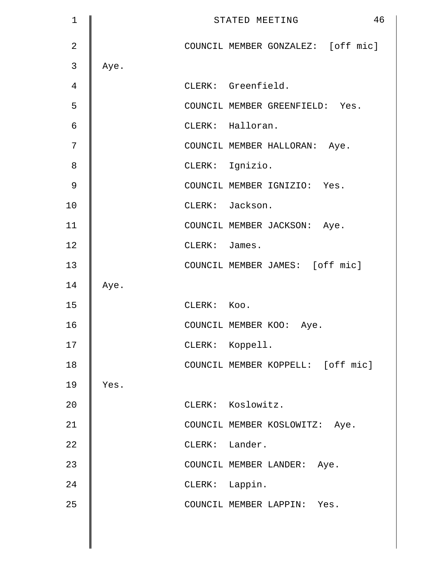| $\mathbf 1$    |      |                 | 46<br>STATED MEETING               |
|----------------|------|-----------------|------------------------------------|
| $\overline{2}$ |      |                 | COUNCIL MEMBER GONZALEZ: [off mic] |
| $\mathfrak{Z}$ | Aye. |                 |                                    |
| 4              |      |                 | CLERK: Greenfield.                 |
| 5              |      |                 | COUNCIL MEMBER GREENFIELD: Yes.    |
| 6              |      |                 | CLERK: Halloran.                   |
| 7              |      |                 | COUNCIL MEMBER HALLORAN: Aye.      |
| $\,8\,$        |      | CLERK: Ignizio. |                                    |
| 9              |      |                 | COUNCIL MEMBER IGNIZIO: Yes.       |
| 10             |      | CLERK: Jackson. |                                    |
| 11             |      |                 | COUNCIL MEMBER JACKSON: Aye.       |
| 12             |      | CLERK: James.   |                                    |
| 13             |      |                 | COUNCIL MEMBER JAMES: [off mic]    |
| 14             | Aye. |                 |                                    |
| 15             |      | CLERK: Koo.     |                                    |
| 16             |      |                 | COUNCIL MEMBER KOO: Aye.           |
| 17             |      | CLERK: Koppell. |                                    |
| 18             |      |                 | COUNCIL MEMBER KOPPELL: [off mic]  |
| 19             | Yes. |                 |                                    |
| 20             |      |                 | CLERK: Koslowitz.                  |
| 21             |      |                 | COUNCIL MEMBER KOSLOWITZ: Aye.     |
| 22             |      | CLERK: Lander.  |                                    |
| 23             |      |                 | COUNCIL MEMBER LANDER: Aye.        |
| 24             |      | CLERK: Lappin.  |                                    |
| 25             |      |                 | COUNCIL MEMBER LAPPIN: Yes.        |
|                |      |                 |                                    |
|                |      |                 |                                    |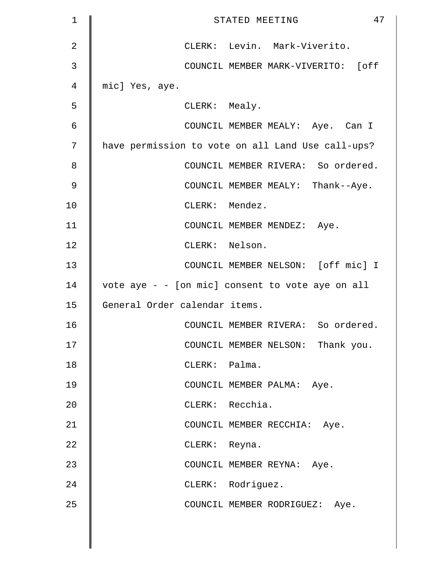| $\mathbf 1$    | 47<br>STATED MEETING                              |
|----------------|---------------------------------------------------|
| $\overline{2}$ | CLERK: Levin. Mark-Viverito.                      |
| 3              | COUNCIL MEMBER MARK-VIVERITO: [off                |
| 4              | mic] Yes, aye.                                    |
| 5              | CLERK: Mealy.                                     |
| 6              | COUNCIL MEMBER MEALY: Aye. Can I                  |
| 7              | have permission to vote on all Land Use call-ups? |
| 8              | COUNCIL MEMBER RIVERA: So ordered.                |
| $\mathcal{G}$  | COUNCIL MEMBER MEALY: Thank--Aye.                 |
| 10             | CLERK: Mendez.                                    |
| 11             | COUNCIL MEMBER MENDEZ: Aye.                       |
| 12             | CLERK: Nelson.                                    |
| 13             | COUNCIL MEMBER NELSON: [off mic] I                |
| 14             | vote aye - - [on mic] consent to vote aye on all  |
| 15             | General Order calendar items.                     |
| 16             | COUNCIL MEMBER RIVERA: So ordered.                |
| 17             | COUNCIL MEMBER NELSON: Thank you.                 |
| 18             | CLERK: Palma.                                     |
| 19             | COUNCIL MEMBER PALMA: Aye.                        |
| 20             | CLERK: Recchia.                                   |
| 21             | COUNCIL MEMBER RECCHIA: Aye.                      |
| 22             | CLERK: Reyna.                                     |
| 23             | COUNCIL MEMBER REYNA: Aye.                        |
| 24             | CLERK: Rodriguez.                                 |
| 25             | COUNCIL MEMBER RODRIGUEZ: Aye.                    |
|                |                                                   |
|                |                                                   |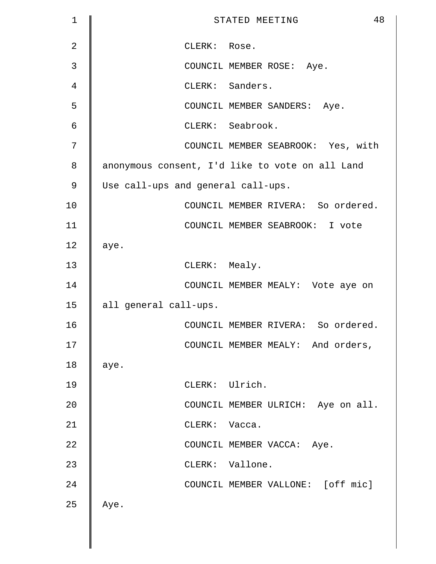| $\mathbf 1$    | 48<br>STATED MEETING                            |
|----------------|-------------------------------------------------|
| $\overline{2}$ | CLERK: Rose.                                    |
| 3              | COUNCIL MEMBER ROSE: Aye.                       |
| 4              | CLERK: Sanders.                                 |
| 5              | COUNCIL MEMBER SANDERS: Aye.                    |
| 6              | CLERK: Seabrook.                                |
| 7              | COUNCIL MEMBER SEABROOK: Yes, with              |
| 8              | anonymous consent, I'd like to vote on all Land |
| 9              | Use call-ups and general call-ups.              |
| 10             | COUNCIL MEMBER RIVERA: So ordered.              |
| 11             | COUNCIL MEMBER SEABROOK: I vote                 |
| 12             | aye.                                            |
| 13             | CLERK: Mealy.                                   |
| 14             | COUNCIL MEMBER MEALY: Vote aye on               |
| 15             | all general call-ups.                           |
| 16             | COUNCIL MEMBER RIVERA: So ordered.              |
| 17             | COUNCIL MEMBER MEALY: And orders,               |
| 18             | aye.                                            |
| 19             | CLERK: Ulrich.                                  |
| 20             | COUNCIL MEMBER ULRICH: Aye on all.              |
| 21             | CLERK: Vacca.                                   |
| 22             | COUNCIL MEMBER VACCA: Aye.                      |
| 23             | CLERK: Vallone.                                 |
| 24             | COUNCIL MEMBER VALLONE: [off mic]               |
| 25             | Aye.                                            |
|                |                                                 |
|                |                                                 |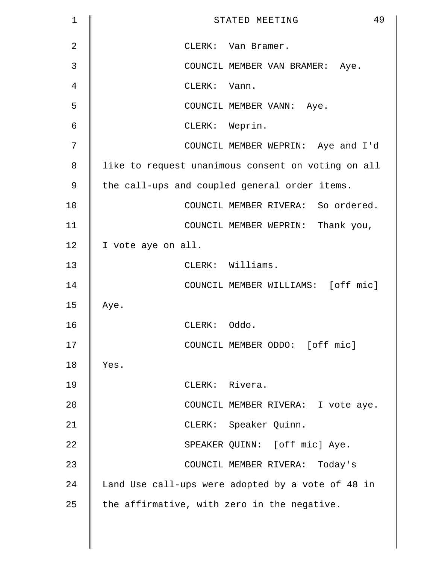| $\mathbf 1$    | 49<br>STATED MEETING                               |
|----------------|----------------------------------------------------|
| $\overline{2}$ | CLERK: Van Bramer.                                 |
| 3              | COUNCIL MEMBER VAN BRAMER: Aye.                    |
| 4              | CLERK: Vann.                                       |
| 5              | COUNCIL MEMBER VANN: Aye.                          |
| 6              | CLERK: Weprin.                                     |
| 7              | COUNCIL MEMBER WEPRIN: Aye and I'd                 |
| 8              | like to request unanimous consent on voting on all |
| $\mathsf 9$    | the call-ups and coupled general order items.      |
| 10             | COUNCIL MEMBER RIVERA: So ordered.                 |
| 11             | COUNCIL MEMBER WEPRIN: Thank you,                  |
| 12             | I vote aye on all.                                 |
| 13             | CLERK: Williams.                                   |
| 14             | COUNCIL MEMBER WILLIAMS: [off mic]                 |
| 15             | Aye.                                               |
| 16             | CLERK: Oddo.                                       |
| 17             | COUNCIL MEMBER ODDO: [off mic]                     |
| 18             | Yes.                                               |
| 19             | CLERK: Rivera.                                     |
| 20             | COUNCIL MEMBER RIVERA: I vote aye.                 |
| 21             | CLERK: Speaker Quinn.                              |
| 22             | SPEAKER QUINN: [off mic] Aye.                      |
| 23             | COUNCIL MEMBER RIVERA: Today's                     |
| 24             | Land Use call-ups were adopted by a vote of 48 in  |
| 25             | the affirmative, with zero in the negative.        |
|                |                                                    |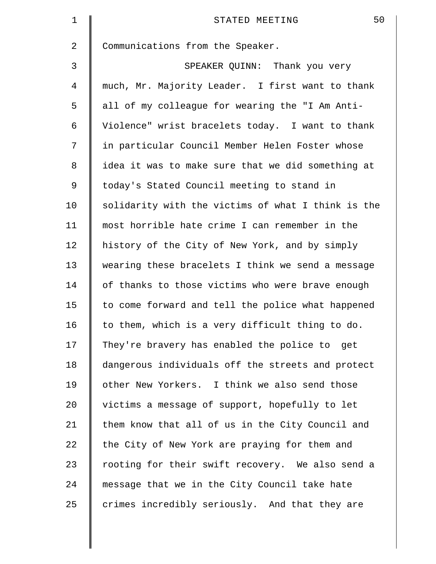| $\mathbf 1$    | 50<br>STATED MEETING                               |
|----------------|----------------------------------------------------|
| 2              | Communications from the Speaker.                   |
| 3              | SPEAKER QUINN: Thank you very                      |
| $\overline{4}$ | much, Mr. Majority Leader. I first want to thank   |
| 5              | all of my colleague for wearing the "I Am Anti-    |
| 6              | Violence" wrist bracelets today. I want to thank   |
| 7              | in particular Council Member Helen Foster whose    |
| 8              | idea it was to make sure that we did something at  |
| 9              | today's Stated Council meeting to stand in         |
| 10             | solidarity with the victims of what I think is the |
| 11             | most horrible hate crime I can remember in the     |
| 12             | history of the City of New York, and by simply     |
| 13             | wearing these bracelets I think we send a message  |
| 14             | of thanks to those victims who were brave enough   |
| 15             | to come forward and tell the police what happened  |
| 16             | to them, which is a very difficult thing to do.    |
| 17             | They're bravery has enabled the police to get      |
| 18             | dangerous individuals off the streets and protect  |
| 19             | other New Yorkers. I think we also send those      |
| 20             | victims a message of support, hopefully to let     |
| 21             | them know that all of us in the City Council and   |
| 22             | the City of New York are praying for them and      |
| 23             | rooting for their swift recovery. We also send a   |
| 24             | message that we in the City Council take hate      |
| 25             | crimes incredibly seriously. And that they are     |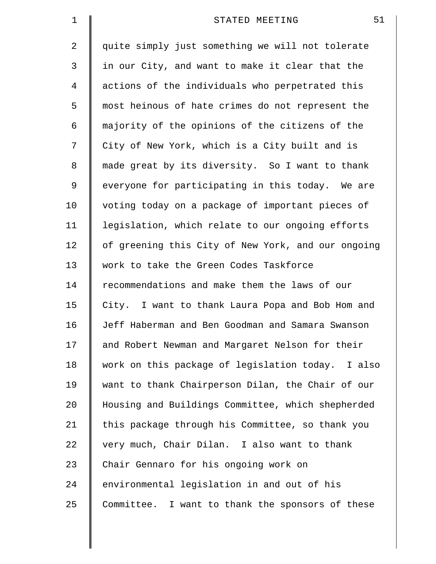| $\mathbf 1$    | 51<br>STATED MEETING                               |
|----------------|----------------------------------------------------|
| 2              | quite simply just something we will not tolerate   |
| 3              | in our City, and want to make it clear that the    |
| $\overline{4}$ | actions of the individuals who perpetrated this    |
| 5              | most heinous of hate crimes do not represent the   |
| 6              | majority of the opinions of the citizens of the    |
| 7              | City of New York, which is a City built and is     |
| 8              | made great by its diversity. So I want to thank    |
| 9              | everyone for participating in this today. We are   |
| 10             | voting today on a package of important pieces of   |
| 11             | legislation, which relate to our ongoing efforts   |
| 12             | of greening this City of New York, and our ongoing |
| 13             | work to take the Green Codes Taskforce             |
| 14             | recommendations and make them the laws of our      |
| 15             | City. I want to thank Laura Popa and Bob Hom and   |
| 16             | Jeff Haberman and Ben Goodman and Samara Swanson   |
| 17             | and Robert Newman and Margaret Nelson for their    |
| 18             | work on this package of legislation today. I also  |
| 19             | want to thank Chairperson Dilan, the Chair of our  |
| 20             | Housing and Buildings Committee, which shepherded  |
| 21             | this package through his Committee, so thank you   |
| 22             | very much, Chair Dilan. I also want to thank       |
| 23             | Chair Gennaro for his ongoing work on              |
| 24             | environmental legislation in and out of his        |
| 25             | Committee. I want to thank the sponsors of these   |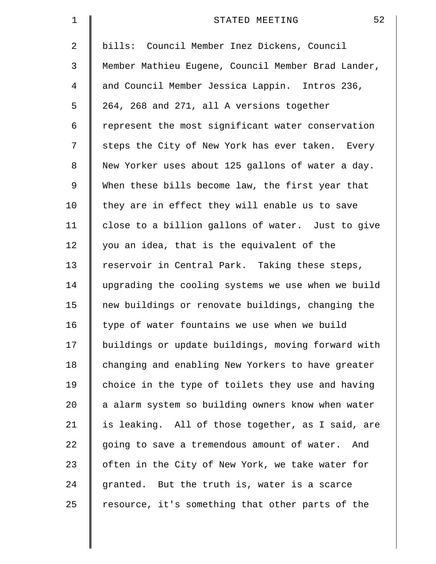| $\mathbf 1$    | 52<br>STATED MEETING                               |
|----------------|----------------------------------------------------|
| $\overline{a}$ | bills: Council Member Inez Dickens, Council        |
| 3              | Member Mathieu Eugene, Council Member Brad Lander, |
| $\overline{4}$ | and Council Member Jessica Lappin. Intros 236,     |
| 5              | 264, 268 and 271, all A versions together          |
| 6              | represent the most significant water conservation  |
| 7              | steps the City of New York has ever taken. Every   |
| 8              | New Yorker uses about 125 gallons of water a day.  |
| 9              | When these bills become law, the first year that   |
| 10             | they are in effect they will enable us to save     |
| 11             | close to a billion gallons of water. Just to give  |
| 12             | you an idea, that is the equivalent of the         |
| 13             | reservoir in Central Park. Taking these steps,     |
| 14             | upgrading the cooling systems we use when we build |
| 15             | new buildings or renovate buildings, changing the  |
| 16             | type of water fountains we use when we build       |
| 17             | buildings or update buildings, moving forward with |
| 18             | changing and enabling New Yorkers to have greater  |
| 19             | choice in the type of toilets they use and having  |
| $20 \,$        | a alarm system so building owners know when water  |
| 21             | is leaking. All of those together, as I said, are  |
| 22             | going to save a tremendous amount of water. And    |
| 23             | often in the City of New York, we take water for   |
| 24             | granted. But the truth is, water is a scarce       |
| 25             | resource, it's something that other parts of the   |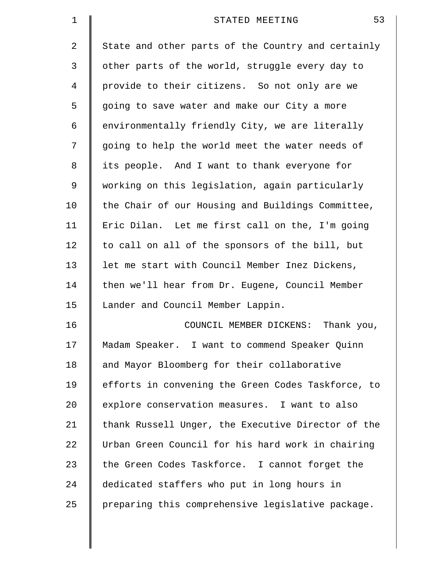| 1  | 53<br>STATED MEETING                               |
|----|----------------------------------------------------|
| 2  | State and other parts of the Country and certainly |
| 3  | other parts of the world, struggle every day to    |
| 4  | provide to their citizens. So not only are we      |
| 5  | going to save water and make our City a more       |
| 6  | environmentally friendly City, we are literally    |
| 7  | going to help the world meet the water needs of    |
| 8  | its people. And I want to thank everyone for       |
| 9  | working on this legislation, again particularly    |
| 10 | the Chair of our Housing and Buildings Committee,  |
| 11 | Eric Dilan. Let me first call on the, I'm going    |
| 12 | to call on all of the sponsors of the bill, but    |
| 13 | let me start with Council Member Inez Dickens,     |
| 14 | then we'll hear from Dr. Eugene, Council Member    |
| 15 | Lander and Council Member Lappin.                  |
| 16 | COUNCIL MEMBER DICKENS:<br>Thank you,              |
| 17 | Madam Speaker. I want to commend Speaker Quinn     |
| 18 | and Mayor Bloomberg for their collaborative        |
| 19 | efforts in convening the Green Codes Taskforce, to |
| 20 | explore conservation measures. I want to also      |
| 21 | thank Russell Unger, the Executive Director of the |
| 22 | Urban Green Council for his hard work in chairing  |
| 23 | the Green Codes Taskforce. I cannot forget the     |
| 24 | dedicated staffers who put in long hours in        |
| 25 | preparing this comprehensive legislative package.  |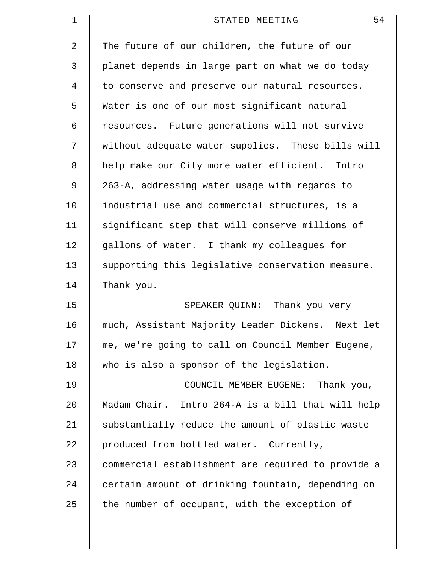| 1              | 54<br>STATED MEETING                               |
|----------------|----------------------------------------------------|
| $\overline{a}$ | The future of our children, the future of our      |
| 3              | planet depends in large part on what we do today   |
| 4              | to conserve and preserve our natural resources.    |
| 5              | Water is one of our most significant natural       |
| 6              | resources. Future generations will not survive     |
| 7              | without adequate water supplies. These bills will  |
| 8              | help make our City more water efficient. Intro     |
| 9              | 263-A, addressing water usage with regards to      |
| 10             | industrial use and commercial structures, is a     |
| 11             | significant step that will conserve millions of    |
| 12             | gallons of water. I thank my colleagues for        |
| 13             | supporting this legislative conservation measure.  |
| 14             | Thank you.                                         |
| 15             | SPEAKER QUINN: Thank you very                      |
| 16             | much, Assistant Majority Leader Dickens. Next let  |
| 17             | me, we're going to call on Council Member Eugene,  |
| 18             | who is also a sponsor of the legislation.          |
| 19             | COUNCIL MEMBER EUGENE: Thank you,                  |
| 20             | Madam Chair. Intro 264-A is a bill that will help  |
| 21             | substantially reduce the amount of plastic waste   |
| 22             | produced from bottled water. Currently,            |
| 23             | commercial establishment are required to provide a |
| 24             | certain amount of drinking fountain, depending on  |
| 25             | the number of occupant, with the exception of      |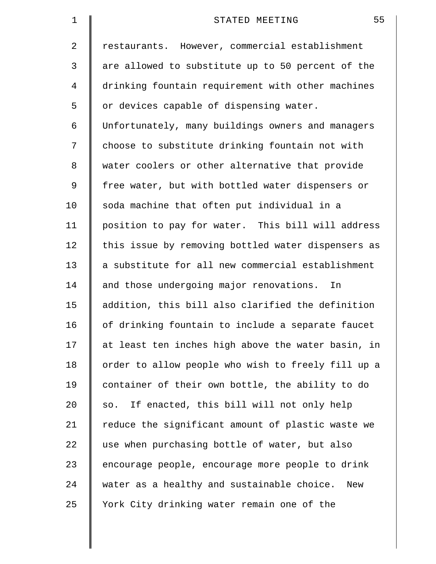| 1  | 55<br>STATED MEETING                               |
|----|----------------------------------------------------|
| 2  | restaurants. However, commercial establishment     |
| 3  | are allowed to substitute up to 50 percent of the  |
| 4  | drinking fountain requirement with other machines  |
| 5  | or devices capable of dispensing water.            |
| 6  | Unfortunately, many buildings owners and managers  |
| 7  | choose to substitute drinking fountain not with    |
| 8  | water coolers or other alternative that provide    |
| 9  | free water, but with bottled water dispensers or   |
| 10 | soda machine that often put individual in a        |
| 11 | position to pay for water. This bill will address  |
| 12 | this issue by removing bottled water dispensers as |
| 13 | a substitute for all new commercial establishment  |
| 14 | and those undergoing major renovations.<br>In      |
| 15 | addition, this bill also clarified the definition  |
| 16 | of drinking fountain to include a separate faucet  |
| 17 | at least ten inches high above the water basin, in |
| 18 | order to allow people who wish to freely fill up a |
| 19 | container of their own bottle, the ability to do   |
| 20 | If enacted, this bill will not only help<br>SO.    |
| 21 | reduce the significant amount of plastic waste we  |
| 22 | use when purchasing bottle of water, but also      |
| 23 | encourage people, encourage more people to drink   |
| 24 | water as a healthy and sustainable choice. New     |
| 25 | York City drinking water remain one of the         |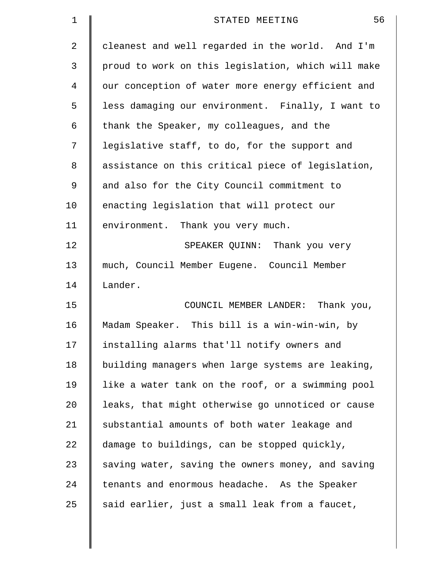| 1  | 56<br>STATED MEETING                               |
|----|----------------------------------------------------|
| 2  | cleanest and well regarded in the world. And I'm   |
| 3  | proud to work on this legislation, which will make |
| 4  | our conception of water more energy efficient and  |
| 5  | less damaging our environment. Finally, I want to  |
| 6  | thank the Speaker, my colleagues, and the          |
| 7  | legislative staff, to do, for the support and      |
| 8  | assistance on this critical piece of legislation,  |
| 9  | and also for the City Council commitment to        |
| 10 | enacting legislation that will protect our         |
| 11 | environment. Thank you very much.                  |
| 12 | SPEAKER QUINN: Thank you very                      |
| 13 | much, Council Member Eugene. Council Member        |
| 14 | Lander.                                            |
| 15 | COUNCIL MEMBER LANDER: Thank you,                  |
| 16 | Madam Speaker. This bill is a win-win-win, by      |
| 17 | installing alarms that'll notify owners and        |
| 18 | building managers when large systems are leaking,  |
| 19 | like a water tank on the roof, or a swimming pool  |
| 20 | leaks, that might otherwise go unnoticed or cause  |
| 21 | substantial amounts of both water leakage and      |
| 22 | damage to buildings, can be stopped quickly,       |
| 23 | saving water, saving the owners money, and saving  |
| 24 | tenants and enormous headache. As the Speaker      |
| 25 | said earlier, just a small leak from a faucet,     |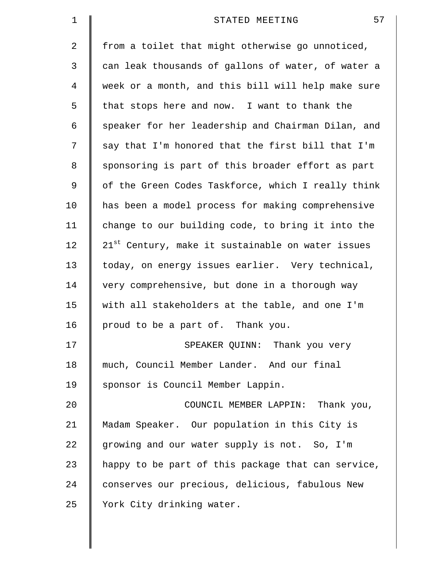| 1  | 57<br>STATED MEETING                                          |
|----|---------------------------------------------------------------|
| 2  | from a toilet that might otherwise go unnoticed,              |
| 3  | can leak thousands of gallons of water, of water a            |
| 4  | week or a month, and this bill will help make sure            |
| 5  | that stops here and now. I want to thank the                  |
| 6  | speaker for her leadership and Chairman Dilan, and            |
| 7  | say that I'm honored that the first bill that I'm             |
| 8  | sponsoring is part of this broader effort as part             |
| 9  | of the Green Codes Taskforce, which I really think            |
| 10 | has been a model process for making comprehensive             |
| 11 | change to our building code, to bring it into the             |
| 12 | 21 <sup>st</sup> Century, make it sustainable on water issues |
| 13 | today, on energy issues earlier. Very technical,              |
| 14 | very comprehensive, but done in a thorough way                |
| 15 | with all stakeholders at the table, and one I'm               |
| 16 | proud to be a part of. Thank you.                             |
| 17 | SPEAKER QUINN: Thank you very                                 |
| 18 | much, Council Member Lander. And our final                    |
| 19 | sponsor is Council Member Lappin.                             |
| 20 | COUNCIL MEMBER LAPPIN: Thank you,                             |
| 21 | Madam Speaker. Our population in this City is                 |
| 22 | growing and our water supply is not. So, I'm                  |
| 23 | happy to be part of this package that can service,            |
| 24 | conserves our precious, delicious, fabulous New               |
| 25 | York City drinking water.                                     |
|    |                                                               |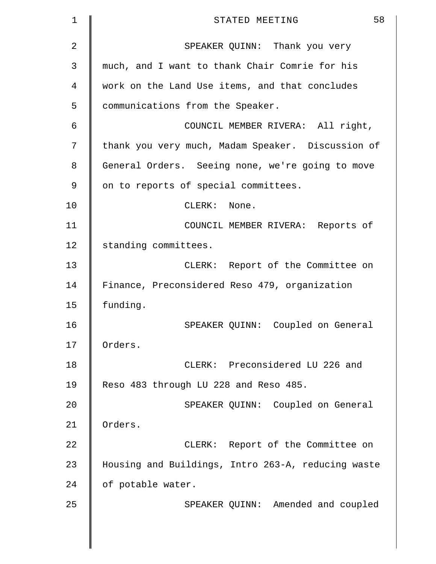| 1  | 58<br>STATED MEETING                               |
|----|----------------------------------------------------|
| 2  | SPEAKER QUINN: Thank you very                      |
| 3  | much, and I want to thank Chair Comrie for his     |
| 4  | work on the Land Use items, and that concludes     |
| 5  | communications from the Speaker.                   |
| 6  | COUNCIL MEMBER RIVERA: All right,                  |
| 7  | thank you very much, Madam Speaker. Discussion of  |
| 8  | General Orders. Seeing none, we're going to move   |
| 9  | on to reports of special committees.               |
| 10 | CLERK: None.                                       |
| 11 | COUNCIL MEMBER RIVERA: Reports of                  |
| 12 | standing committees.                               |
| 13 | CLERK: Report of the Committee on                  |
| 14 | Finance, Preconsidered Reso 479, organization      |
| 15 | funding.                                           |
| 16 | SPEAKER QUINN: Coupled on General                  |
| 17 | Orders.                                            |
| 18 | CLERK: Preconsidered LU 226 and                    |
| 19 | Reso 483 through LU 228 and Reso 485.              |
| 20 | SPEAKER QUINN: Coupled on General                  |
| 21 | Orders.                                            |
| 22 | CLERK: Report of the Committee on                  |
| 23 | Housing and Buildings, Intro 263-A, reducing waste |
| 24 | of potable water.                                  |
| 25 | SPEAKER QUINN: Amended and coupled                 |
|    |                                                    |
|    |                                                    |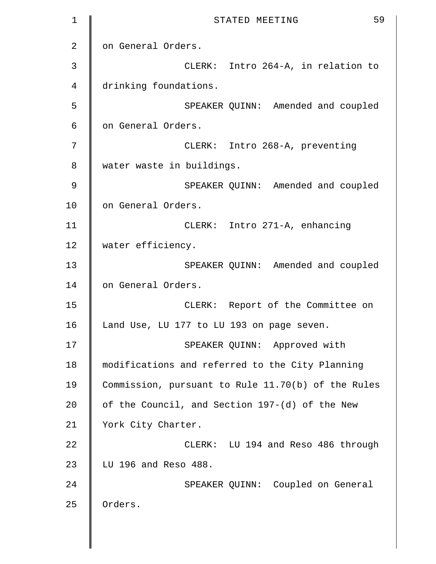| 1  | 59<br>STATED MEETING                               |
|----|----------------------------------------------------|
| 2  | on General Orders.                                 |
| 3  | CLERK: Intro 264-A, in relation to                 |
| 4  | drinking foundations.                              |
| 5  | SPEAKER QUINN: Amended and coupled                 |
| 6  | on General Orders.                                 |
| 7  | CLERK: Intro 268-A, preventing                     |
| 8  | water waste in buildings.                          |
| 9  | SPEAKER QUINN: Amended and coupled                 |
| 10 | on General Orders.                                 |
| 11 | CLERK: Intro 271-A, enhancing                      |
| 12 | water efficiency.                                  |
| 13 | SPEAKER QUINN: Amended and coupled                 |
| 14 | on General Orders.                                 |
| 15 | CLERK: Report of the Committee on                  |
| 16 | Land Use, LU 177 to LU 193 on page seven.          |
| 17 | SPEAKER QUINN: Approved with                       |
| 18 | modifications and referred to the City Planning    |
| 19 | Commission, pursuant to Rule 11.70(b) of the Rules |
| 20 | of the Council, and Section 197-(d) of the New     |
| 21 | York City Charter.                                 |
| 22 | CLERK: LU 194 and Reso 486 through                 |
| 23 | LU 196 and Reso 488.                               |
| 24 | SPEAKER QUINN: Coupled on General                  |
| 25 | Orders.                                            |
|    |                                                    |

 $\parallel$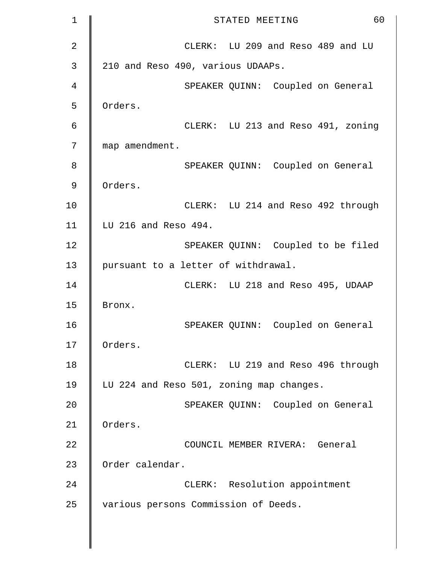| $1\,$          | 60<br>STATED MEETING                     |
|----------------|------------------------------------------|
| $\overline{2}$ | CLERK: LU 209 and Reso 489 and LU        |
| 3              | 210 and Reso 490, various UDAAPs.        |
| 4              | SPEAKER QUINN: Coupled on General        |
| 5              | Orders.                                  |
| 6              | CLERK: LU 213 and Reso 491, zoning       |
| 7              | map amendment.                           |
| 8              | SPEAKER QUINN: Coupled on General        |
| 9              | Orders.                                  |
| 10             | CLERK: LU 214 and Reso 492 through       |
| 11             | LU 216 and Reso 494.                     |
| 12             | SPEAKER QUINN: Coupled to be filed       |
| 13             | pursuant to a letter of withdrawal.      |
| 14             | CLERK: LU 218 and Reso 495, UDAAP        |
| 15             | Bronx.                                   |
| 16             | SPEAKER QUINN: Coupled on General        |
| 17             | Orders.                                  |
| 18             | CLERK: LU 219 and Reso 496 through       |
| 19             | LU 224 and Reso 501, zoning map changes. |
| 20             | SPEAKER QUINN: Coupled on General        |
| 21             | Orders.                                  |
| 22             | COUNCIL MEMBER RIVERA: General           |
| 23             | Order calendar.                          |
| 24             | CLERK: Resolution appointment            |
| 25             | various persons Commission of Deeds.     |
|                |                                          |
|                |                                          |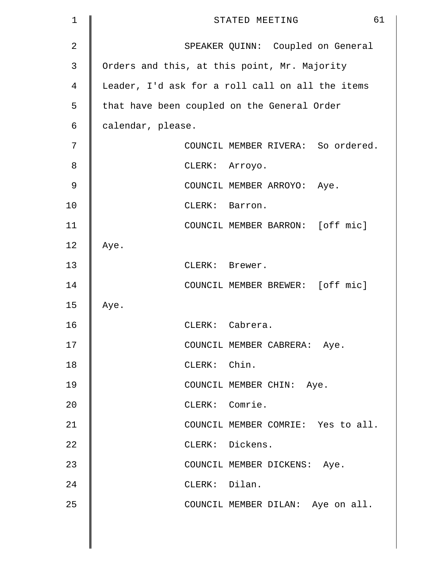| $\mathbf 1$    | 61<br>STATED MEETING                             |
|----------------|--------------------------------------------------|
| $\overline{2}$ | SPEAKER QUINN: Coupled on General                |
| 3              | Orders and this, at this point, Mr. Majority     |
| 4              | Leader, I'd ask for a roll call on all the items |
| 5              | that have been coupled on the General Order      |
| 6              | calendar, please.                                |
| 7              | COUNCIL MEMBER RIVERA: So ordered.               |
| 8              | CLERK: Arroyo.                                   |
| 9              | COUNCIL MEMBER ARROYO: Aye.                      |
| 10             | CLERK: Barron.                                   |
| 11             | COUNCIL MEMBER BARRON: [off mic]                 |
| 12             | Aye.                                             |
| 13             | CLERK: Brewer.                                   |
| 14             | COUNCIL MEMBER BREWER: [off mic]                 |
| 15             | Aye.                                             |
| 16             | CLERK: Cabrera.                                  |
| 17             | COUNCIL MEMBER CABRERA: Aye.                     |
| 18             | CLERK: Chin.                                     |
| 19             | COUNCIL MEMBER CHIN: Aye.                        |
| 20             | CLERK: Comrie.                                   |
| 21             | COUNCIL MEMBER COMRIE: Yes to all.               |
| 22             | CLERK: Dickens.                                  |
| 23             | COUNCIL MEMBER DICKENS: Aye.                     |
| 24             | CLERK: Dilan.                                    |
| 25             | COUNCIL MEMBER DILAN: Aye on all.                |
|                |                                                  |
|                |                                                  |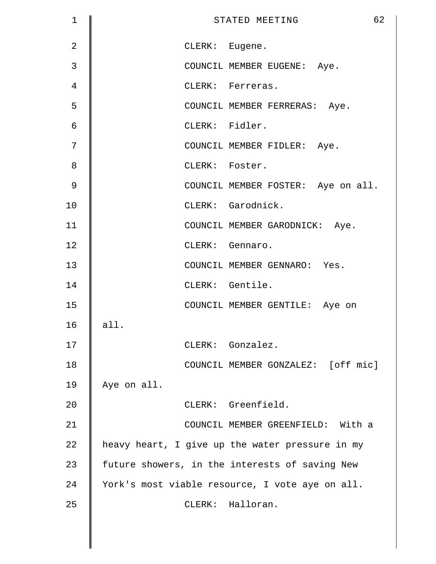| $\mathbf 1$    | 62<br>STATED MEETING                            |
|----------------|-------------------------------------------------|
| $\overline{2}$ | CLERK: Eugene.                                  |
| 3              | COUNCIL MEMBER EUGENE: Aye.                     |
| 4              | CLERK: Ferreras.                                |
| 5              | COUNCIL MEMBER FERRERAS: Aye.                   |
| $\epsilon$     | CLERK: Fidler.                                  |
| 7              | COUNCIL MEMBER FIDLER: Aye.                     |
| 8              | CLERK: Foster.                                  |
| $\mathsf 9$    | COUNCIL MEMBER FOSTER: Aye on all.              |
| 10             | CLERK: Garodnick.                               |
| 11             | COUNCIL MEMBER GARODNICK: Aye.                  |
| 12             | CLERK: Gennaro.                                 |
| 13             | COUNCIL MEMBER GENNARO: Yes.                    |
| 14             | CLERK: Gentile.                                 |
| 15             | COUNCIL MEMBER GENTILE: Aye on                  |
| 16             | all.                                            |
| 17             | CLERK: Gonzalez.                                |
| 18             | COUNCIL MEMBER GONZALEZ: [off mic]              |
| 19             | Aye on all.                                     |
| 20             | CLERK: Greenfield.                              |
| 21             | COUNCIL MEMBER GREENFIELD: With a               |
| 22             | heavy heart, I give up the water pressure in my |
| 23             | future showers, in the interests of saving New  |
| 24             | York's most viable resource, I vote aye on all. |
| 25             | CLERK: Halloran.                                |
|                |                                                 |

 $\parallel$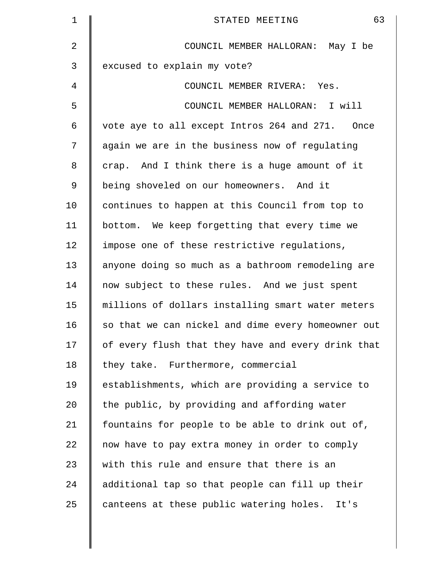| $\mathbf 1$    | 63<br>STATED MEETING                               |
|----------------|----------------------------------------------------|
| $\overline{2}$ | COUNCIL MEMBER HALLORAN: May I be                  |
| 3              | excused to explain my vote?                        |
| 4              | COUNCIL MEMBER RIVERA: Yes.                        |
| 5              | COUNCIL MEMBER HALLORAN: I will                    |
| 6              | vote aye to all except Intros 264 and 271. Once    |
| 7              | again we are in the business now of regulating     |
| 8              | crap. And I think there is a huge amount of it     |
| 9              | being shoveled on our homeowners. And it           |
| 10             | continues to happen at this Council from top to    |
| 11             | bottom. We keep forgetting that every time we      |
| 12             | impose one of these restrictive regulations,       |
| 13             | anyone doing so much as a bathroom remodeling are  |
| 14             | now subject to these rules. And we just spent      |
| 15             | millions of dollars installing smart water meters  |
| 16             | so that we can nickel and dime every homeowner out |
| 17             | of every flush that they have and every drink that |
| 18             | they take. Furthermore, commercial                 |
| 19             | establishments, which are providing a service to   |
| 20             | the public, by providing and affording water       |
| 21             | fountains for people to be able to drink out of,   |
| 22             | now have to pay extra money in order to comply     |
| 23             | with this rule and ensure that there is an         |
| 24             | additional tap so that people can fill up their    |
| 25             | canteens at these public watering holes. It's      |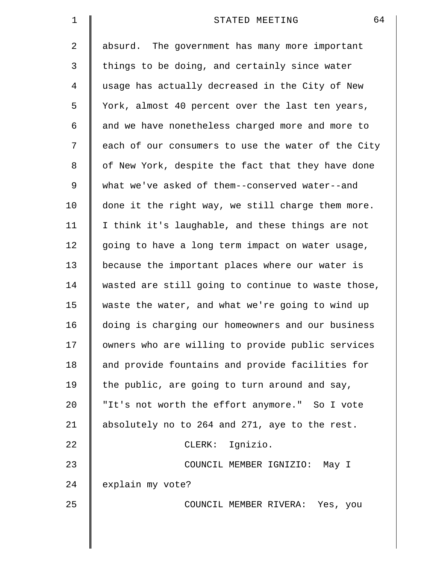| $1\,$ | 64<br>STATED MEETING                               |
|-------|----------------------------------------------------|
| 2     | absurd. The government has many more important     |
| 3     | things to be doing, and certainly since water      |
| 4     | usage has actually decreased in the City of New    |
| 5     | York, almost 40 percent over the last ten years,   |
| 6     | and we have nonetheless charged more and more to   |
| 7     | each of our consumers to use the water of the City |
| 8     | of New York, despite the fact that they have done  |
| 9     | what we've asked of them--conserved water--and     |
| 10    | done it the right way, we still charge them more.  |
| 11    | I think it's laughable, and these things are not   |
| 12    | going to have a long term impact on water usage,   |
| 13    | because the important places where our water is    |
| 14    | wasted are still going to continue to waste those, |
| 15    | waste the water, and what we're going to wind up   |
| 16    | doing is charging our homeowners and our business  |
| 17    | owners who are willing to provide public services  |
| 18    | and provide fountains and provide facilities for   |
| 19    | the public, are going to turn around and say,      |
| 20    | "It's not worth the effort anymore." So I vote     |
| 21    | absolutely no to 264 and 271, aye to the rest.     |
| 22    | CLERK: Ignizio.                                    |
| 23    | COUNCIL MEMBER IGNIZIO: May I                      |
| 24    | explain my vote?                                   |
| 25    | COUNCIL MEMBER RIVERA: Yes, you                    |
|       |                                                    |
|       |                                                    |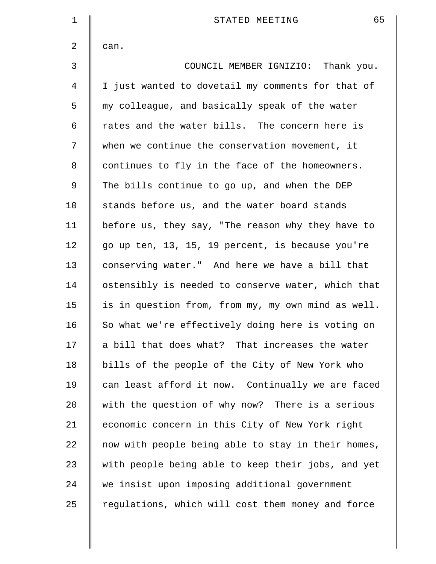| $\mathbf 1$ | 65<br>STATED MEETING                               |
|-------------|----------------------------------------------------|
| 2           | can.                                               |
| 3           | COUNCIL MEMBER IGNIZIO: Thank you.                 |
| 4           | I just wanted to dovetail my comments for that of  |
| 5           | my colleague, and basically speak of the water     |
| 6           | rates and the water bills. The concern here is     |
| 7           | when we continue the conservation movement, it     |
| 8           | continues to fly in the face of the homeowners.    |
| $\mathsf 9$ | The bills continue to go up, and when the DEP      |
| 10          | stands before us, and the water board stands       |
| 11          | before us, they say, "The reason why they have to  |
| 12          | go up ten, 13, 15, 19 percent, is because you're   |
| 13          | conserving water." And here we have a bill that    |
| 14          | ostensibly is needed to conserve water, which that |
| 15          | is in question from, from my, my own mind as well. |
| 16          | So what we're effectively doing here is voting on  |
| 17          | a bill that does what? That increases the water    |
| 18          | bills of the people of the City of New York who    |
| 19          | can least afford it now. Continually we are faced  |
| 20          | with the question of why now? There is a serious   |
| 21          | economic concern in this City of New York right    |
| 22          | now with people being able to stay in their homes, |
| 23          | with people being able to keep their jobs, and yet |
| 24          | we insist upon imposing additional government      |
| 25          | regulations, which will cost them money and force  |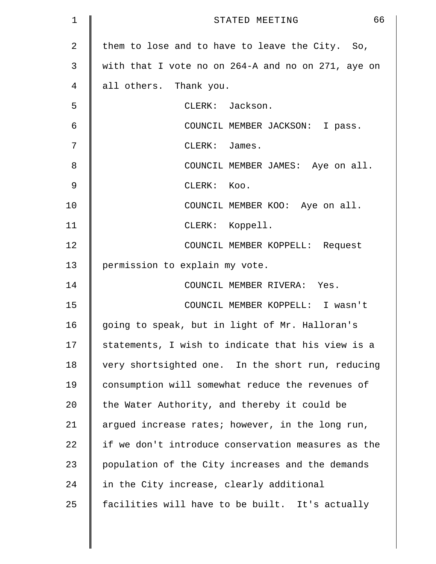| 1  | 66<br>STATED MEETING                               |
|----|----------------------------------------------------|
| 2  | them to lose and to have to leave the City. So,    |
| 3  | with that I vote no on 264-A and no on 271, aye on |
| 4  | all others. Thank you.                             |
| 5  | CLERK: Jackson.                                    |
| 6  | COUNCIL MEMBER JACKSON: I pass.                    |
| 7  | CLERK: James.                                      |
| 8  | COUNCIL MEMBER JAMES: Aye on all.                  |
| 9  | CLERK: Koo.                                        |
| 10 | COUNCIL MEMBER KOO: Aye on all.                    |
| 11 | CLERK: Koppell.                                    |
| 12 | COUNCIL MEMBER KOPPELL: Request                    |
| 13 | permission to explain my vote.                     |
| 14 | COUNCIL MEMBER RIVERA: Yes.                        |
| 15 | COUNCIL MEMBER KOPPELL: I wasn't                   |
| 16 | going to speak, but in light of Mr. Halloran's     |
| 17 | statements, I wish to indicate that his view is a  |
| 18 | very shortsighted one. In the short run, reducing  |
| 19 | consumption will somewhat reduce the revenues of   |
| 20 | the Water Authority, and thereby it could be       |
| 21 | argued increase rates; however, in the long run,   |
| 22 | if we don't introduce conservation measures as the |
| 23 | population of the City increases and the demands   |
| 24 | in the City increase, clearly additional           |
| 25 | facilities will have to be built. It's actually    |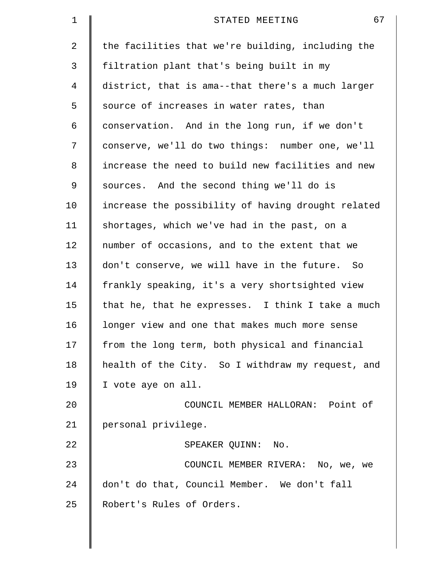| $\mathbf 1$ | 67<br>STATED MEETING                               |
|-------------|----------------------------------------------------|
| 2           | the facilities that we're building, including the  |
| 3           | filtration plant that's being built in my          |
| 4           | district, that is ama--that there's a much larger  |
| 5           | source of increases in water rates, than           |
| 6           | conservation. And in the long run, if we don't     |
| 7           | conserve, we'll do two things: number one, we'll   |
| 8           | increase the need to build new facilities and new  |
| 9           | sources. And the second thing we'll do is          |
| 10          | increase the possibility of having drought related |
| 11          | shortages, which we've had in the past, on a       |
| 12          | number of occasions, and to the extent that we     |
| 13          | don't conserve, we will have in the future. So     |
| 14          | frankly speaking, it's a very shortsighted view    |
| 15          | that he, that he expresses. I think I take a much  |
| 16          | longer view and one that makes much more sense     |
| 17          | from the long term, both physical and financial    |
| 18          | health of the City. So I withdraw my request, and  |
| 19          | I vote aye on all.                                 |
| 20          | COUNCIL MEMBER HALLORAN: Point of                  |
| 21          | personal privilege.                                |
| 22          | SPEAKER QUINN: No.                                 |
| 23          | COUNCIL MEMBER RIVERA: No, we, we                  |
| 24          | don't do that, Council Member. We don't fall       |
| 25          | Robert's Rules of Orders.                          |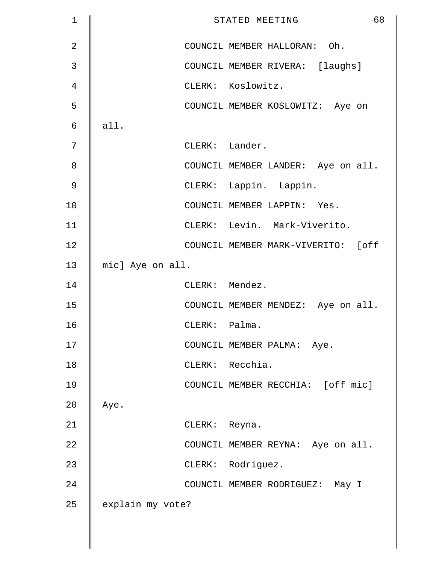| $\mathbf 1$    |                  |                | STATED MEETING                  | 68                                 |
|----------------|------------------|----------------|---------------------------------|------------------------------------|
| $\overline{2}$ |                  |                | COUNCIL MEMBER HALLORAN: Oh.    |                                    |
| 3              |                  |                | COUNCIL MEMBER RIVERA: [laughs] |                                    |
| 4              |                  |                | CLERK: Koslowitz.               |                                    |
| 5              |                  |                |                                 | COUNCIL MEMBER KOSLOWITZ: Aye on   |
| 6              | all.             |                |                                 |                                    |
| 7              |                  | CLERK: Lander. |                                 |                                    |
| 8              |                  |                |                                 | COUNCIL MEMBER LANDER: Aye on all. |
| $\mathcal{G}$  |                  |                | CLERK: Lappin. Lappin.          |                                    |
| 10             |                  |                | COUNCIL MEMBER LAPPIN: Yes.     |                                    |
| 11             |                  |                | CLERK: Levin. Mark-Viverito.    |                                    |
| 12             |                  |                |                                 | COUNCIL MEMBER MARK-VIVERITO: [off |
| 13             | mic] Aye on all. |                |                                 |                                    |
| 14             |                  | CLERK: Mendez. |                                 |                                    |
| 15             |                  |                |                                 | COUNCIL MEMBER MENDEZ: Aye on all. |
| 16             |                  | CLERK: Palma.  |                                 |                                    |
| 17             |                  |                | COUNCIL MEMBER PALMA: Aye.      |                                    |
| 18             |                  |                | CLERK: Recchia.                 |                                    |
| 19             |                  |                |                                 | COUNCIL MEMBER RECCHIA: [off mic]  |
| 20             | Aye.             |                |                                 |                                    |
| 21             |                  | CLERK: Reyna.  |                                 |                                    |
| 22             |                  |                |                                 | COUNCIL MEMBER REYNA: Aye on all.  |
| 23             |                  |                | CLERK: Rodriguez.               |                                    |
| 24             |                  |                | COUNCIL MEMBER RODRIGUEZ: May I |                                    |
| 25             | explain my vote? |                |                                 |                                    |
|                |                  |                |                                 |                                    |
|                |                  |                |                                 |                                    |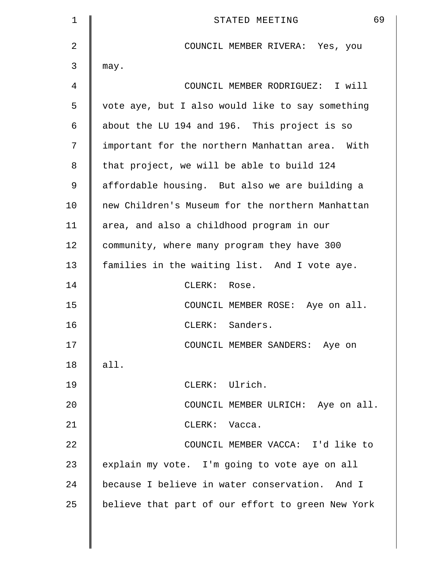| 1  | 69<br>STATED MEETING                              |
|----|---------------------------------------------------|
| 2  | COUNCIL MEMBER RIVERA: Yes, you                   |
| 3  | may.                                              |
| 4  | COUNCIL MEMBER RODRIGUEZ: I will                  |
| 5  | vote aye, but I also would like to say something  |
| 6  | about the LU 194 and 196. This project is so      |
| 7  | important for the northern Manhattan area. With   |
| 8  | that project, we will be able to build 124        |
| 9  | affordable housing. But also we are building a    |
| 10 | new Children's Museum for the northern Manhattan  |
| 11 | area, and also a childhood program in our         |
| 12 | community, where many program they have 300       |
| 13 | families in the waiting list. And I vote aye.     |
| 14 | $CLERK$ :<br>Rose.                                |
| 15 | COUNCIL MEMBER ROSE: Aye on all.                  |
| 16 | CLERK: Sanders.                                   |
| 17 | COUNCIL MEMBER SANDERS: Aye on                    |
| 18 | all.                                              |
| 19 | CLERK: Ulrich.                                    |
| 20 | COUNCIL MEMBER ULRICH: Aye on all.                |
| 21 | CLERK: Vacca.                                     |
| 22 | COUNCIL MEMBER VACCA: I'd like to                 |
| 23 | explain my vote. I'm going to vote aye on all     |
| 24 | because I believe in water conservation. And I    |
| 25 | believe that part of our effort to green New York |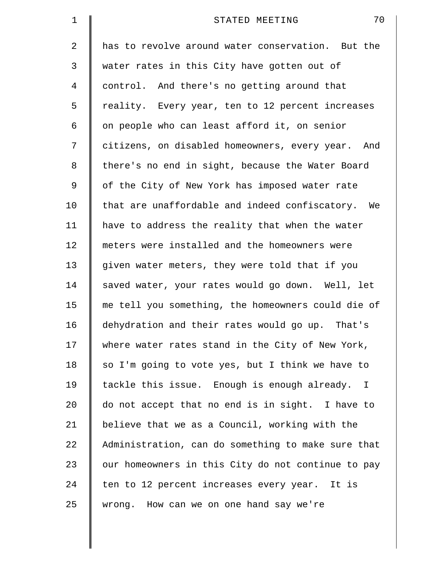| $\mathbf 1$ | 70<br>STATED MEETING                               |
|-------------|----------------------------------------------------|
| 2           | has to revolve around water conservation. But the  |
| 3           | water rates in this City have gotten out of        |
| 4           | control. And there's no getting around that        |
| 5           | reality. Every year, ten to 12 percent increases   |
| 6           | on people who can least afford it, on senior       |
| 7           | citizens, on disabled homeowners, every year. And  |
| 8           | there's no end in sight, because the Water Board   |
| 9           | of the City of New York has imposed water rate     |
| 10          | that are unaffordable and indeed confiscatory. We  |
| 11          | have to address the reality that when the water    |
| 12          | meters were installed and the homeowners were      |
| 13          | given water meters, they were told that if you     |
| 14          | saved water, your rates would go down. Well, let   |
| 15          | me tell you something, the homeowners could die of |
| 16          | dehydration and their rates would go up. That's    |
| 17          | where water rates stand in the City of New York,   |
| 18          | so I'm going to vote yes, but I think we have to   |
| 19          | tackle this issue. Enough is enough already. I     |
| 20          | do not accept that no end is in sight. I have to   |
| 21          | believe that we as a Council, working with the     |
| 22          | Administration, can do something to make sure that |
| 23          | our homeowners in this City do not continue to pay |
| 24          | ten to 12 percent increases every year. It is      |
| 25          | wrong. How can we on one hand say we're            |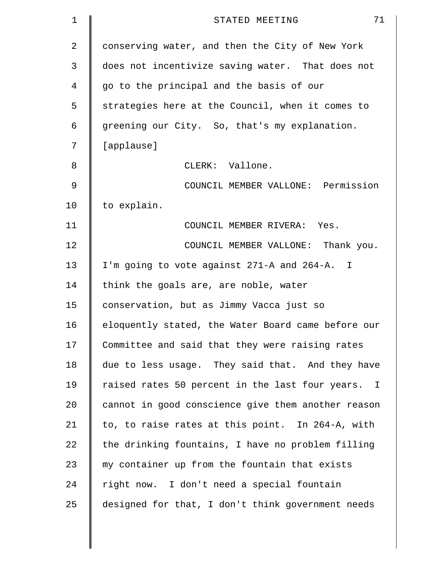| 1              | 71<br>STATED MEETING                               |
|----------------|----------------------------------------------------|
| 2              | conserving water, and then the City of New York    |
| 3              | does not incentivize saving water. That does not   |
| $\overline{4}$ | go to the principal and the basis of our           |
| 5              | strategies here at the Council, when it comes to   |
| 6              | greening our City. So, that's my explanation.      |
| 7              | [applause]                                         |
| 8              | CLERK: Vallone.                                    |
| 9              | COUNCIL MEMBER VALLONE: Permission                 |
| 10             | to explain.                                        |
| 11             | COUNCIL MEMBER RIVERA: Yes.                        |
| 12             | COUNCIL MEMBER VALLONE: Thank you.                 |
| 13             | I'm going to vote against 271-A and 264-A. I       |
| 14             | think the goals are, are noble, water              |
| 15             | conservation, but as Jimmy Vacca just so           |
| 16             | eloquently stated, the Water Board came before our |
| 17             | Committee and said that they were raising rates    |
| 18             | due to less usage. They said that. And they have   |
| 19             | raised rates 50 percent in the last four years. I  |
| 20             | cannot in good conscience give them another reason |
| 21             | to, to raise rates at this point. In 264-A, with   |
| 22             | the drinking fountains, I have no problem filling  |
| 23             | my container up from the fountain that exists      |
| 24             | right now. I don't need a special fountain         |
| 25             | designed for that, I don't think government needs  |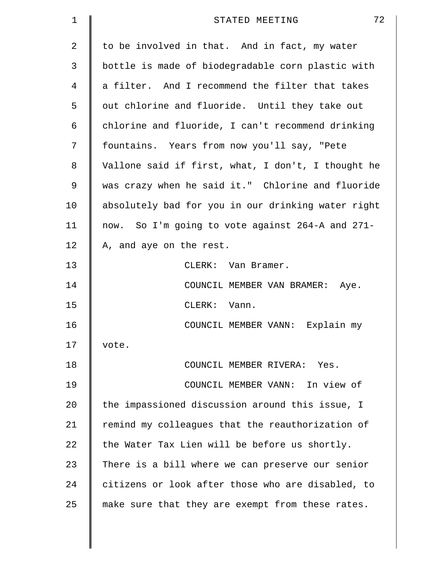| 1  | 72<br>STATED MEETING                               |
|----|----------------------------------------------------|
| 2  | to be involved in that. And in fact, my water      |
| 3  | bottle is made of biodegradable corn plastic with  |
| 4  | a filter. And I recommend the filter that takes    |
| 5  | out chlorine and fluoride. Until they take out     |
| 6  | chlorine and fluoride, I can't recommend drinking  |
| 7  | fountains. Years from now you'll say, "Pete        |
| 8  | Vallone said if first, what, I don't, I thought he |
| 9  | was crazy when he said it." Chlorine and fluoride  |
| 10 | absolutely bad for you in our drinking water right |
| 11 | now. So I'm going to vote against 264-A and 271-   |
| 12 | A, and aye on the rest.                            |
| 13 | CLERK: Van Bramer.                                 |
| 14 | COUNCIL MEMBER VAN BRAMER: Aye.                    |
| 15 | CLERK: Vann.                                       |
| 16 | COUNCIL MEMBER VANN:<br>Explain my                 |
| 17 | vote.                                              |
| 18 | COUNCIL MEMBER RIVERA: Yes.                        |
| 19 | COUNCIL MEMBER VANN: In view of                    |
| 20 | the impassioned discussion around this issue, I    |
| 21 | remind my colleagues that the reauthorization of   |
| 22 | the Water Tax Lien will be before us shortly.      |
| 23 | There is a bill where we can preserve our senior   |
| 24 | citizens or look after those who are disabled, to  |
| 25 | make sure that they are exempt from these rates.   |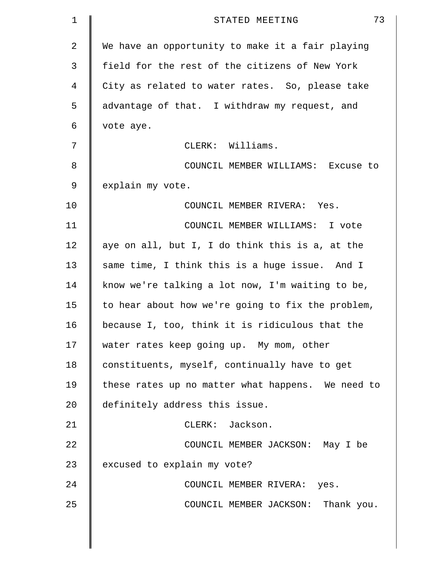| $\mathbf 1$    | 73<br>STATED MEETING                              |
|----------------|---------------------------------------------------|
| $\overline{a}$ | We have an opportunity to make it a fair playing  |
| 3              | field for the rest of the citizens of New York    |
| 4              | City as related to water rates. So, please take   |
| 5              | advantage of that. I withdraw my request, and     |
| 6              | vote aye.                                         |
| 7              | CLERK: Williams.                                  |
| 8              | COUNCIL MEMBER WILLIAMS: Excuse to                |
| 9              | explain my vote.                                  |
| 10             | COUNCIL MEMBER RIVERA: Yes.                       |
| 11             | COUNCIL MEMBER WILLIAMS: I vote                   |
| 12             | aye on all, but I, I do think this is a, at the   |
| 13             | same time, I think this is a huge issue. And I    |
| 14             | know we're talking a lot now, I'm waiting to be,  |
| 15             | to hear about how we're going to fix the problem, |
| 16             | because I, too, think it is ridiculous that the   |
| 17             | water rates keep going up. My mom, other          |
| 18             | constituents, myself, continually have to get     |
| 19             | these rates up no matter what happens. We need to |
| 20             | definitely address this issue.                    |
| 21             | CLERK: Jackson.                                   |
| 22             | COUNCIL MEMBER JACKSON: May I be                  |
| 23             | excused to explain my vote?                       |
| 24             | COUNCIL MEMBER RIVERA: yes.                       |
| 25             | COUNCIL MEMBER JACKSON: Thank you.                |
|                |                                                   |

 $\parallel$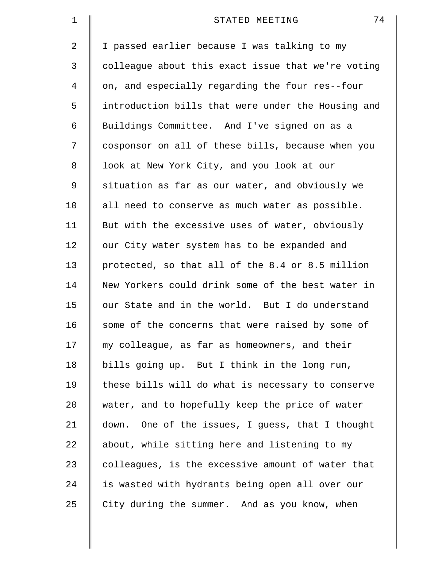| $\mathbf 1$ | 74<br>STATED MEETING                               |
|-------------|----------------------------------------------------|
| 2           | I passed earlier because I was talking to my       |
| 3           | colleague about this exact issue that we're voting |
| 4           | on, and especially regarding the four res--four    |
| 5           | introduction bills that were under the Housing and |
| 6           | Buildings Committee. And I've signed on as a       |
| 7           | cosponsor on all of these bills, because when you  |
| 8           | look at New York City, and you look at our         |
| 9           | situation as far as our water, and obviously we    |
| 10          | all need to conserve as much water as possible.    |
| 11          | But with the excessive uses of water, obviously    |
| 12          | our City water system has to be expanded and       |
| 13          | protected, so that all of the 8.4 or 8.5 million   |
| 14          | New Yorkers could drink some of the best water in  |
| 15          | our State and in the world. But I do understand    |
| 16          | some of the concerns that were raised by some of   |
| 17          | my colleague, as far as homeowners, and their      |
| 18          | bills going up. But I think in the long run,       |
| 19          | these bills will do what is necessary to conserve  |
| 20          | water, and to hopefully keep the price of water    |
| 21          | down. One of the issues, I guess, that I thought   |
| 22          | about, while sitting here and listening to my      |
| 23          | colleagues, is the excessive amount of water that  |
| 24          | is wasted with hydrants being open all over our    |
| 25          | City during the summer. And as you know, when      |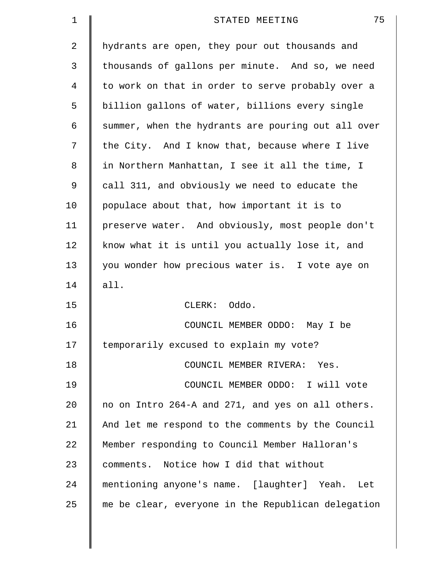| 1  | 75<br>STATED MEETING                               |
|----|----------------------------------------------------|
| 2  | hydrants are open, they pour out thousands and     |
| 3  | thousands of gallons per minute. And so, we need   |
| 4  | to work on that in order to serve probably over a  |
| 5  | billion gallons of water, billions every single    |
| 6  | summer, when the hydrants are pouring out all over |
| 7  | the City. And I know that, because where I live    |
| 8  | in Northern Manhattan, I see it all the time, I    |
| 9  | call 311, and obviously we need to educate the     |
| 10 | populace about that, how important it is to        |
| 11 | preserve water. And obviously, most people don't   |
| 12 | know what it is until you actually lose it, and    |
| 13 | you wonder how precious water is. I vote aye on    |
| 14 | all.                                               |
| 15 | CLERK: Oddo.                                       |
| 16 | COUNCIL MEMBER ODDO: May I be                      |
| 17 | temporarily excused to explain my vote?            |
| 18 | COUNCIL MEMBER RIVERA: Yes.                        |
| 19 | COUNCIL MEMBER ODDO: I will vote                   |
| 20 | no on Intro 264-A and 271, and yes on all others.  |
| 21 | And let me respond to the comments by the Council  |
| 22 | Member responding to Council Member Halloran's     |
| 23 | comments. Notice how I did that without            |
| 24 | mentioning anyone's name. [laughter] Yeah. Let     |
| 25 | me be clear, everyone in the Republican delegation |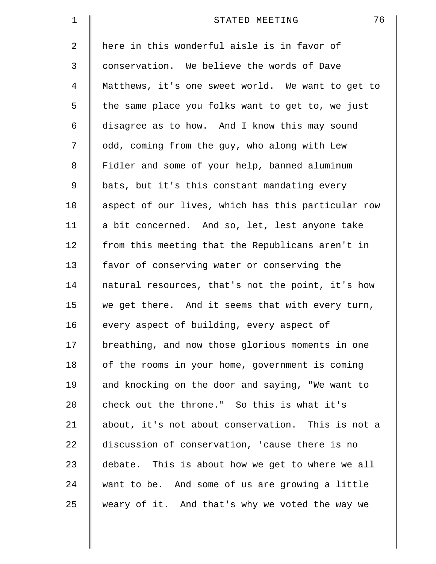| 1  | 76<br>STATED MEETING                               |
|----|----------------------------------------------------|
| 2  | here in this wonderful aisle is in favor of        |
| 3  | conservation. We believe the words of Dave         |
| 4  | Matthews, it's one sweet world. We want to get to  |
| 5  | the same place you folks want to get to, we just   |
| 6  | disagree as to how. And I know this may sound      |
| 7  | odd, coming from the guy, who along with Lew       |
| 8  | Fidler and some of your help, banned aluminum      |
| 9  | bats, but it's this constant mandating every       |
| 10 | aspect of our lives, which has this particular row |
| 11 | a bit concerned. And so, let, lest anyone take     |
| 12 | from this meeting that the Republicans aren't in   |
| 13 | favor of conserving water or conserving the        |
| 14 | natural resources, that's not the point, it's how  |
| 15 | we get there. And it seems that with every turn,   |
| 16 | every aspect of building, every aspect of          |
| 17 | breathing, and now those glorious moments in one   |
| 18 | of the rooms in your home, government is coming    |
| 19 | and knocking on the door and saying, "We want to   |
| 20 | check out the throne." So this is what it's        |
| 21 | about, it's not about conservation. This is not a  |
| 22 | discussion of conservation, 'cause there is no     |
| 23 | debate. This is about how we get to where we all   |
| 24 | want to be. And some of us are growing a little    |
| 25 | weary of it. And that's why we voted the way we    |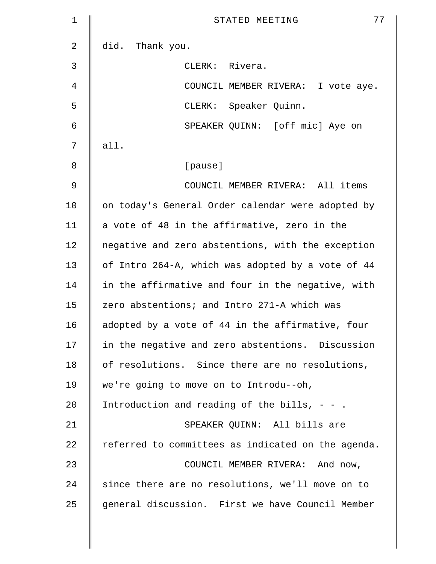| $\mathbf 1$ | 77<br>STATED MEETING                               |
|-------------|----------------------------------------------------|
| 2           | did. Thank you.                                    |
| 3           | CLERK: Rivera.                                     |
| 4           | COUNCIL MEMBER RIVERA: I vote aye.                 |
| 5           | CLERK: Speaker Quinn.                              |
| 6           | SPEAKER QUINN: [off mic] Aye on                    |
| 7           | all.                                               |
| 8           | [pause]                                            |
| 9           | COUNCIL MEMBER RIVERA: All items                   |
| 10          | on today's General Order calendar were adopted by  |
| 11          | a vote of 48 in the affirmative, zero in the       |
| 12          | negative and zero abstentions, with the exception  |
| 13          | of Intro 264-A, which was adopted by a vote of 44  |
| 14          | in the affirmative and four in the negative, with  |
| 15          | zero abstentions; and Intro 271-A which was        |
| 16          | adopted by a vote of 44 in the affirmative, four   |
| 17          | in the negative and zero abstentions. Discussion   |
| 18          | of resolutions. Since there are no resolutions,    |
| 19          | we're going to move on to Introdu--oh,             |
| 20          | Introduction and reading of the bills, $- -$ .     |
| 21          | SPEAKER QUINN: All bills are                       |
| 22          | referred to committees as indicated on the agenda. |
| 23          | COUNCIL MEMBER RIVERA: And now,                    |
| 24          | since there are no resolutions, we'll move on to   |
| 25          | general discussion. First we have Council Member   |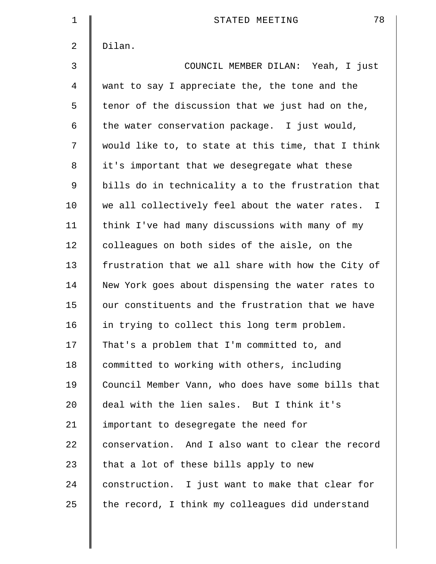| 1           | 78<br>STATED MEETING                               |
|-------------|----------------------------------------------------|
| 2           | Dilan.                                             |
| 3           | COUNCIL MEMBER DILAN: Yeah, I just                 |
| 4           | want to say I appreciate the, the tone and the     |
| 5           | tenor of the discussion that we just had on the,   |
| 6           | the water conservation package. I just would,      |
| 7           | would like to, to state at this time, that I think |
| 8           | it's important that we desegregate what these      |
| $\mathsf 9$ | bills do in technicality a to the frustration that |
| 10          | we all collectively feel about the water rates. I  |
| 11          | think I've had many discussions with many of my    |
| 12          | colleagues on both sides of the aisle, on the      |
| 13          | frustration that we all share with how the City of |
| 14          | New York goes about dispensing the water rates to  |
| 15          | our constituents and the frustration that we have  |
| 16          | in trying to collect this long term problem.       |
| 17          | That's a problem that I'm committed to, and        |
| 18          | committed to working with others, including        |
| 19          | Council Member Vann, who does have some bills that |
| 20          | deal with the lien sales. But I think it's         |
| 21          | important to desegregate the need for              |
| 22          | conservation. And I also want to clear the record  |
| 23          | that a lot of these bills apply to new             |
| 24          | construction. I just want to make that clear for   |
| 25          | the record, I think my colleagues did understand   |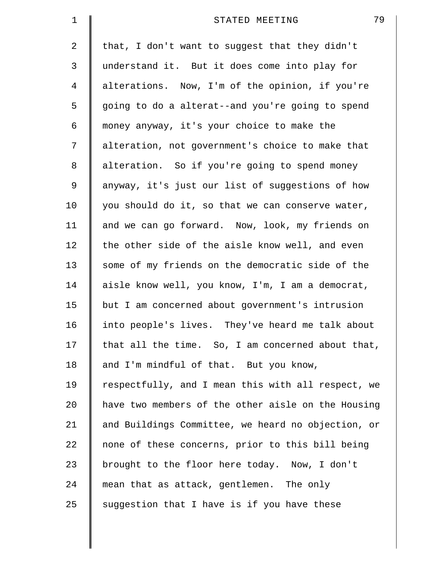| $\mathbf 1$    | 79<br>STATED MEETING                               |
|----------------|----------------------------------------------------|
| 2              | that, I don't want to suggest that they didn't     |
| 3              | understand it. But it does come into play for      |
| $\overline{4}$ | alterations. Now, I'm of the opinion, if you're    |
| 5              | going to do a alterat--and you're going to spend   |
| 6              | money anyway, it's your choice to make the         |
| 7              | alteration, not government's choice to make that   |
| 8              | alteration. So if you're going to spend money      |
| 9              | anyway, it's just our list of suggestions of how   |
| 10             | you should do it, so that we can conserve water,   |
| 11             | and we can go forward. Now, look, my friends on    |
| 12             | the other side of the aisle know well, and even    |
| 13             | some of my friends on the democratic side of the   |
| 14             | aisle know well, you know, I'm, I am a democrat,   |
| 15             | but I am concerned about government's intrusion    |
| 16             | into people's lives. They've heard me talk about   |
| 17             | that all the time. So, I am concerned about that,  |
| 18             | and I'm mindful of that. But you know,             |
| 19             | respectfully, and I mean this with all respect, we |
| 20             | have two members of the other aisle on the Housing |
| 21             | and Buildings Committee, we heard no objection, or |
| 22             | none of these concerns, prior to this bill being   |
| 23             | brought to the floor here today. Now, I don't      |
| 24             | mean that as attack, gentlemen. The only           |
| 25             | suggestion that I have is if you have these        |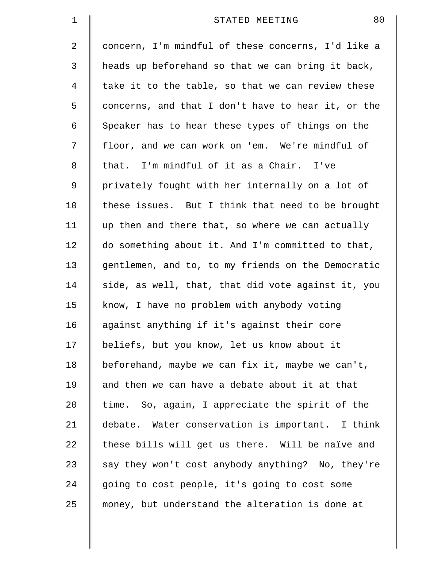| $\mathbf 1$ | 80<br>STATED MEETING                               |
|-------------|----------------------------------------------------|
| 2           | concern, I'm mindful of these concerns, I'd like a |
| 3           | heads up beforehand so that we can bring it back,  |
| 4           | take it to the table, so that we can review these  |
| 5           | concerns, and that I don't have to hear it, or the |
| 6           | Speaker has to hear these types of things on the   |
| 7           | floor, and we can work on 'em. We're mindful of    |
| 8           | that. I'm mindful of it as a Chair. I've           |
| 9           | privately fought with her internally on a lot of   |
| 10          | these issues. But I think that need to be brought  |
| 11          | up then and there that, so where we can actually   |
| 12          | do something about it. And I'm committed to that,  |
| 13          | gentlemen, and to, to my friends on the Democratic |
| 14          | side, as well, that, that did vote against it, you |
| 15          | know, I have no problem with anybody voting        |
| 16          | against anything if it's against their core        |
| 17          | beliefs, but you know, let us know about it        |
| 18          | beforehand, maybe we can fix it, maybe we can't,   |
| 19          | and then we can have a debate about it at that     |
| 20          | time. So, again, I appreciate the spirit of the    |
| 21          | debate. Water conservation is important. I think   |
| 22          | these bills will get us there. Will be naive and   |
| 23          | say they won't cost anybody anything? No, they're  |
| 24          | going to cost people, it's going to cost some      |
| 25          | money, but understand the alteration is done at    |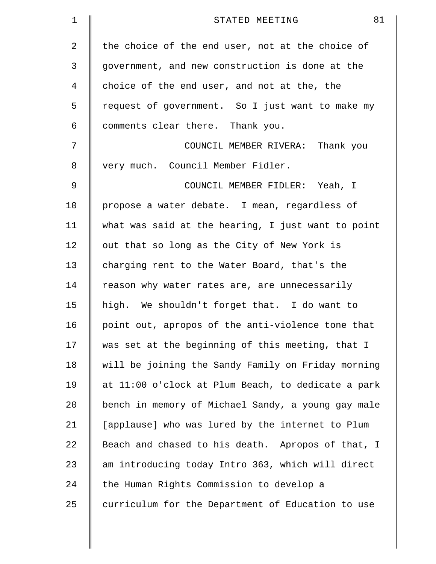| $\mathbf 1$    | 81<br>STATED MEETING                               |
|----------------|----------------------------------------------------|
| $\overline{a}$ | the choice of the end user, not at the choice of   |
| 3              | government, and new construction is done at the    |
| 4              | choice of the end user, and not at the, the        |
| 5              | request of government. So I just want to make my   |
| 6              | comments clear there. Thank you.                   |
| 7              | COUNCIL MEMBER RIVERA: Thank you                   |
| 8              | very much. Council Member Fidler.                  |
| 9              | COUNCIL MEMBER FIDLER: Yeah, I                     |
| 10             | propose a water debate. I mean, regardless of      |
| 11             | what was said at the hearing, I just want to point |
| 12             | out that so long as the City of New York is        |
| 13             | charging rent to the Water Board, that's the       |
| 14             | reason why water rates are, are unnecessarily      |
| 15             | high. We shouldn't forget that. I do want to       |
| 16             | point out, apropos of the anti-violence tone that  |
| 17             | was set at the beginning of this meeting, that I   |
| 18             | will be joining the Sandy Family on Friday morning |
| 19             | at 11:00 o'clock at Plum Beach, to dedicate a park |
| 20             | bench in memory of Michael Sandy, a young gay male |
| 21             | [applause] who was lured by the internet to Plum   |
| 22             | Beach and chased to his death. Apropos of that, I  |
| 23             | am introducing today Intro 363, which will direct  |
| 24             | the Human Rights Commission to develop a           |
| 25             | curriculum for the Department of Education to use  |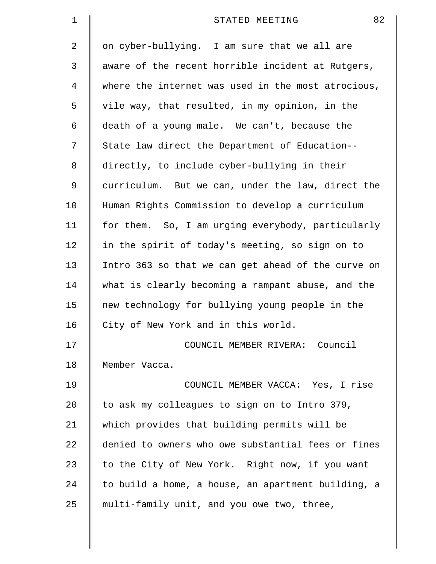| $\mathbf 1$    | 82<br>STATED MEETING                               |
|----------------|----------------------------------------------------|
| $\overline{2}$ | on cyber-bullying. I am sure that we all are       |
| 3              | aware of the recent horrible incident at Rutgers,  |
| 4              | where the internet was used in the most atrocious, |
| 5              | vile way, that resulted, in my opinion, in the     |
| 6              | death of a young male. We can't, because the       |
| 7              | State law direct the Department of Education--     |
| 8              | directly, to include cyber-bullying in their       |
| 9              | curriculum. But we can, under the law, direct the  |
| 10             | Human Rights Commission to develop a curriculum    |
| 11             | for them. So, I am urging everybody, particularly  |
| 12             | in the spirit of today's meeting, so sign on to    |
| 13             | Intro 363 so that we can get ahead of the curve on |
| 14             | what is clearly becoming a rampant abuse, and the  |
| 15             | new technology for bullying young people in the    |
| 16             | City of New York and in this world.                |
| 17             | COUNCIL MEMBER RIVERA: Council                     |
| 18             | Member Vacca.                                      |
| 19             | COUNCIL MEMBER VACCA: Yes, I rise                  |
| 20             | to ask my colleagues to sign on to Intro 379,      |
| 21             | which provides that building permits will be       |
| 22             | denied to owners who owe substantial fees or fines |
| 23             | to the City of New York. Right now, if you want    |
| 24             | to build a home, a house, an apartment building, a |
| 25             | multi-family unit, and you owe two, three,         |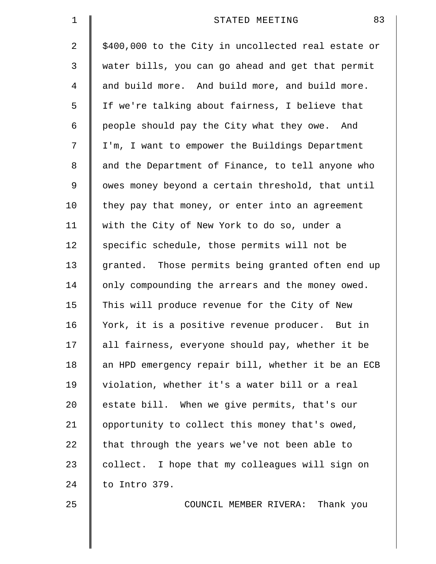| $\mathbf 1$    | 83<br>STATED MEETING                                |
|----------------|-----------------------------------------------------|
| $\overline{2}$ | \$400,000 to the City in uncollected real estate or |
| 3              | water bills, you can go ahead and get that permit   |
| 4              | and build more. And build more, and build more.     |
| 5              | If we're talking about fairness, I believe that     |
| 6              | people should pay the City what they owe. And       |
| 7              | I'm, I want to empower the Buildings Department     |
| 8              | and the Department of Finance, to tell anyone who   |
| 9              | owes money beyond a certain threshold, that until   |
| 10             | they pay that money, or enter into an agreement     |
| 11             | with the City of New York to do so, under a         |
| 12             | specific schedule, those permits will not be        |
| 13             | granted. Those permits being granted often end up   |
| 14             | only compounding the arrears and the money owed.    |
| 15             | This will produce revenue for the City of New       |
| 16             | York, it is a positive revenue producer. But in     |
| 17             | all fairness, everyone should pay, whether it be    |
| 18             | an HPD emergency repair bill, whether it be an ECB  |
| 19             | violation, whether it's a water bill or a real      |
| 20             | estate bill. When we give permits, that's our       |
| 21             | opportunity to collect this money that's owed,      |
| 22             | that through the years we've not been able to       |
| 23             | collect. I hope that my colleagues will sign on     |
| 24             | to Intro 379.                                       |
| 25             | COUNCIL MEMBER RIVERA: Thank you                    |
|                |                                                     |
|                |                                                     |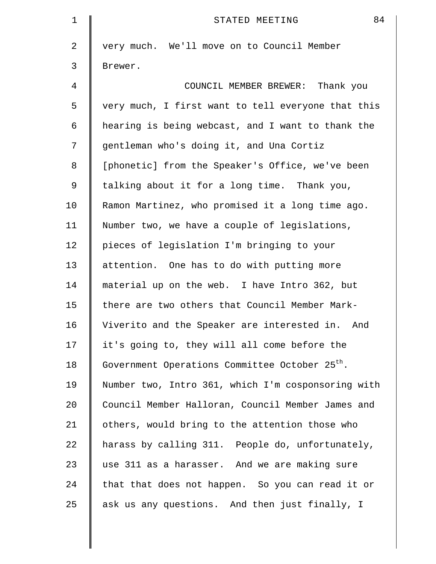| $\mathbf 1$    | 84<br>STATED MEETING                                       |
|----------------|------------------------------------------------------------|
| $\overline{2}$ | very much. We'll move on to Council Member                 |
| 3              | Brewer.                                                    |
| 4              | COUNCIL MEMBER BREWER: Thank you                           |
| 5              | very much, I first want to tell everyone that this         |
| 6              | hearing is being webcast, and I want to thank the          |
| 7              | gentleman who's doing it, and Una Cortiz                   |
| 8              | [phonetic] from the Speaker's Office, we've been           |
| 9              | talking about it for a long time. Thank you,               |
| 10             | Ramon Martinez, who promised it a long time ago.           |
| 11             | Number two, we have a couple of legislations,              |
| 12             | pieces of legislation I'm bringing to your                 |
| 13             | attention. One has to do with putting more                 |
| 14             | material up on the web. I have Intro 362, but              |
| 15             | there are two others that Council Member Mark-             |
| 16             | Viverito and the Speaker are interested in. And            |
| 17             | it's going to, they will all come before the               |
| 18             | Government Operations Committee October 25 <sup>th</sup> . |
| 19             | Number two, Intro 361, which I'm cosponsoring with         |
| 20             | Council Member Halloran, Council Member James and          |
| 21             | others, would bring to the attention those who             |
| 22             | harass by calling 311. People do, unfortunately,           |
| 23             | use 311 as a harasser. And we are making sure              |
| 24             | that that does not happen. So you can read it or           |
| 25             | ask us any questions. And then just finally, I             |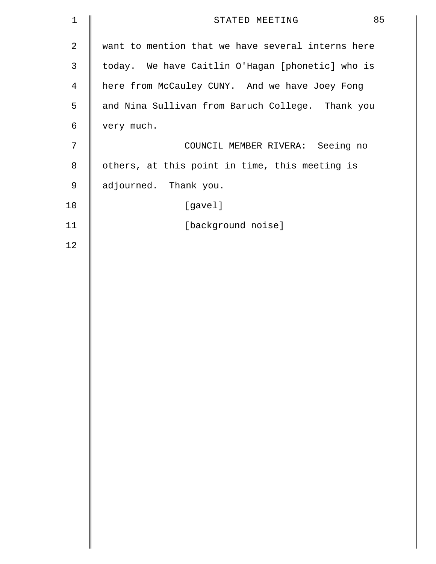| $\mathbf{1}$   | 85<br>STATED MEETING                              |
|----------------|---------------------------------------------------|
| 2              | want to mention that we have several interns here |
| 3              | today. We have Caitlin O'Hagan [phonetic] who is  |
| $\overline{4}$ | here from McCauley CUNY. And we have Joey Fong    |
| 5              | and Nina Sullivan from Baruch College. Thank you  |
| 6              | very much.                                        |
| 7              | COUNCIL MEMBER RIVERA: Seeing no                  |
| 8              | others, at this point in time, this meeting is    |
| 9              | adjourned. Thank you.                             |
| 10             | [gavel]                                           |
| 11             | [background noise]                                |
| 12             |                                                   |
|                |                                                   |
|                |                                                   |
|                |                                                   |
|                |                                                   |
|                |                                                   |
|                |                                                   |